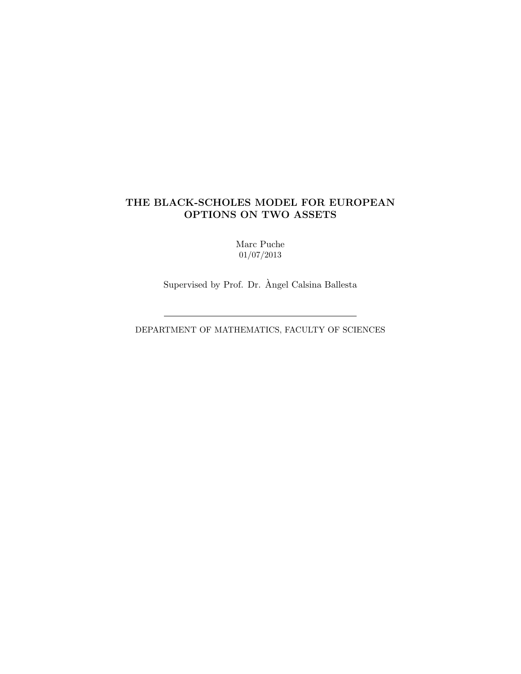## THE BLACK-SCHOLES MODEL FOR EUROPEAN OPTIONS ON TWO ASSETS

Marc Puche 01/07/2013

Supervised by Prof. Dr. Angel Calsina Ballesta `

DEPARTMENT OF MATHEMATICS, FACULTY OF SCIENCES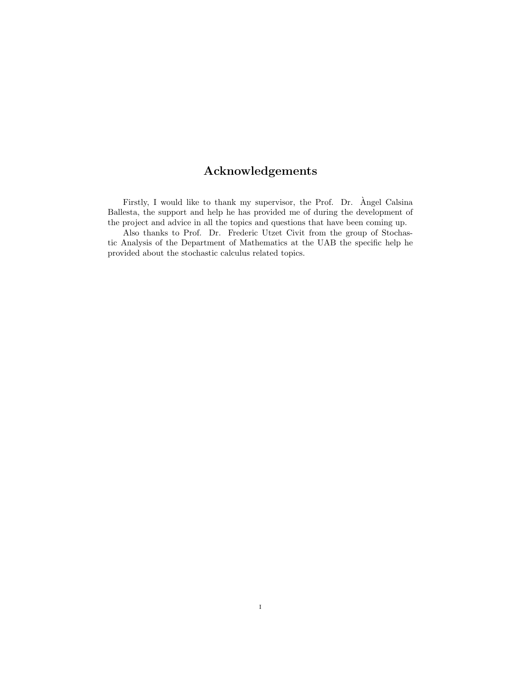# Acknowledgements

<span id="page-4-0"></span>Firstly, I would like to thank my supervisor, the Prof. Dr. Angel Calsina ` Ballesta, the support and help he has provided me of during the development of the project and advice in all the topics and questions that have been coming up.

Also thanks to Prof. Dr. Frederic Utzet Civit from the group of Stochastic Analysis of the Department of Mathematics at the UAB the specific help he provided about the stochastic calculus related topics.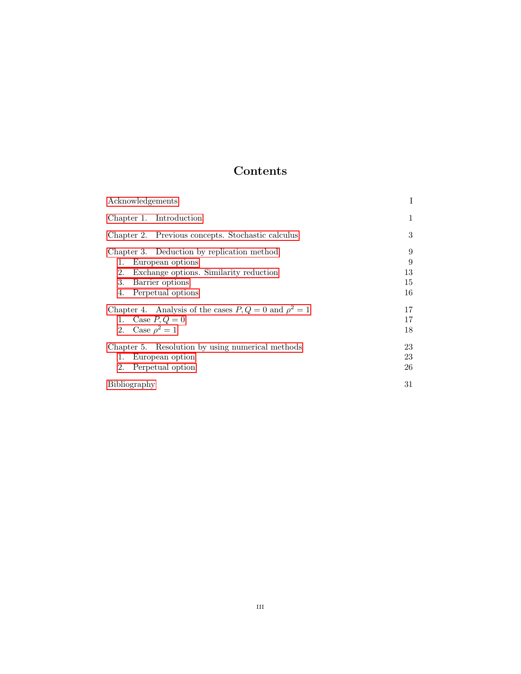# Contents

| Acknowledgements                                                                                                                                                         | Ι                        |
|--------------------------------------------------------------------------------------------------------------------------------------------------------------------------|--------------------------|
| Chapter 1. Introduction                                                                                                                                                  | 1                        |
| Chapter 2. Previous concepts. Stochastic calculus                                                                                                                        | 3                        |
| Chapter 3. Deduction by replication method<br>European options<br>1.<br>Exchange options. Similarity reduction<br>2.<br>3.<br>Barrier options<br>Perpetual options<br>4. | 9<br>9<br>13<br>15<br>16 |
| Chapter 4. Analysis of the cases $P, Q = 0$ and $\rho^2 = 1$<br>1. Case $P, Q = 0$<br>2. Case $\rho^2 = 1$                                                               | 17<br>17<br>18           |
| Chapter 5. Resolution by using numerical methods<br>European option<br>1.<br>2.<br>Perpetual option                                                                      | 23<br>23<br>26           |
| Bibliography                                                                                                                                                             | 31                       |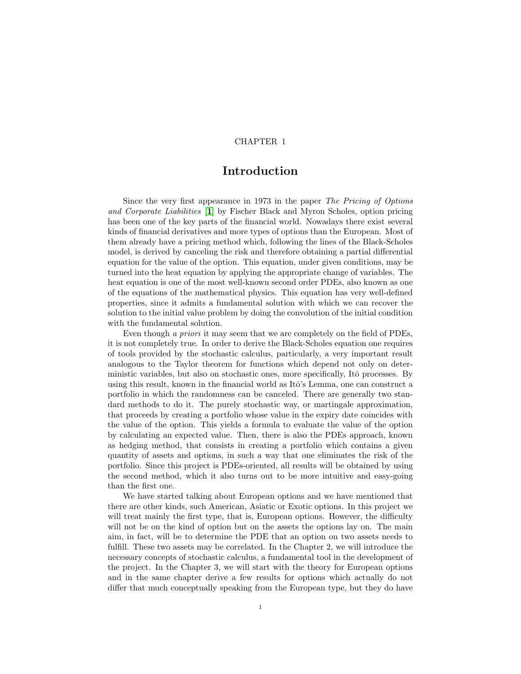### CHAPTER 1

## Introduction

<span id="page-8-0"></span>Since the very first appearance in 1973 in the paper The Pricing of Options and Corporate Liabilities [[1](#page-38-1)] by Fischer Black and Myron Scholes, option pricing has been one of the key parts of the financial world. Nowadays there exist several kinds of financial derivatives and more types of options than the European. Most of them already have a pricing method which, following the lines of the Black-Scholes model, is derived by canceling the risk and therefore obtaining a partial differential equation for the value of the option. This equation, under given conditions, may be turned into the heat equation by applying the appropriate change of variables. The heat equation is one of the most well-known second order PDEs, also known as one of the equations of the mathematical physics. This equation has very well-defined properties, since it admits a fundamental solution with which we can recover the solution to the initial value problem by doing the convolution of the initial condition with the fundamental solution.

Even though a priori it may seem that we are completely on the field of PDEs, it is not completely true. In order to derive the Black-Scholes equation one requires of tools provided by the stochastic calculus, particularly, a very important result analogous to the Taylor theorem for functions which depend not only on deterministic variables, but also on stochastic ones, more specifically, Itô processes. By using this result, known in the financial world as Itô's Lemma, one can construct a portfolio in which the randomness can be canceled. There are generally two standard methods to do it. The purely stochastic way, or martingale approximation, that proceeds by creating a portfolio whose value in the expiry date coincides with the value of the option. This yields a formula to evaluate the value of the option by calculating an expected value. Then, there is also the PDEs approach, known as hedging method, that consists in creating a portfolio which contains a given quantity of assets and options, in such a way that one eliminates the risk of the portfolio. Since this project is PDEs-oriented, all results will be obtained by using the second method, which it also turns out to be more intuitive and easy-going than the first one.

We have started talking about European options and we have mentioned that there are other kinds, such American, Asiatic or Exotic options. In this project we will treat mainly the first type, that is, European options. However, the difficulty will not be on the kind of option but on the assets the options lay on. The main aim, in fact, will be to determine the PDE that an option on two assets needs to fulfill. These two assets may be correlated. In the Chapter 2, we will introduce the necessary concepts of stochastic calculus, a fundamental tool in the development of the project. In the Chapter 3, we will start with the theory for European options and in the same chapter derive a few results for options which actually do not differ that much conceptually speaking from the European type, but they do have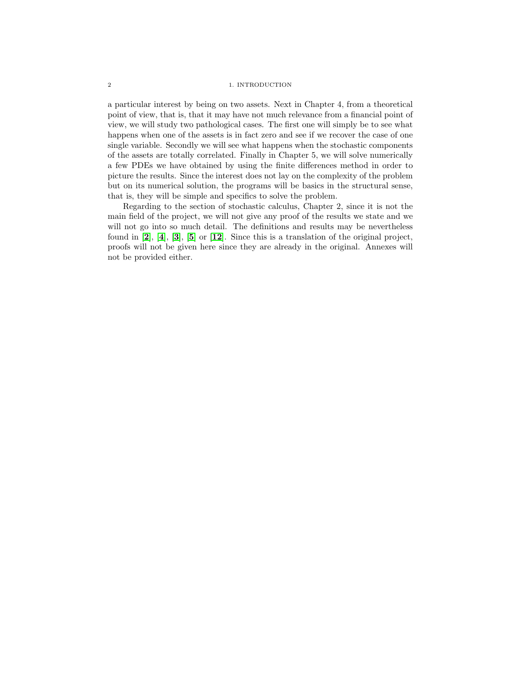#### 2 1. INTRODUCTION

a particular interest by being on two assets. Next in Chapter 4, from a theoretical point of view, that is, that it may have not much relevance from a financial point of view, we will study two pathological cases. The first one will simply be to see what happens when one of the assets is in fact zero and see if we recover the case of one single variable. Secondly we will see what happens when the stochastic components of the assets are totally correlated. Finally in Chapter 5, we will solve numerically a few PDEs we have obtained by using the finite differences method in order to picture the results. Since the interest does not lay on the complexity of the problem but on its numerical solution, the programs will be basics in the structural sense, that is, they will be simple and specifics to solve the problem.

Regarding to the section of stochastic calculus, Chapter 2, since it is not the main field of the project, we will not give any proof of the results we state and we will not go into so much detail. The definitions and results may be nevertheless found in  $[2]$  $[2]$  $[2]$ ,  $[4]$  $[4]$  $[4]$ ,  $[3]$  $[3]$  $[3]$ ,  $[5]$  $[5]$  $[5]$  or  $[12]$  $[12]$  $[12]$ . Since this is a translation of the original project, proofs will not be given here since they are already in the original. Annexes will not be provided either.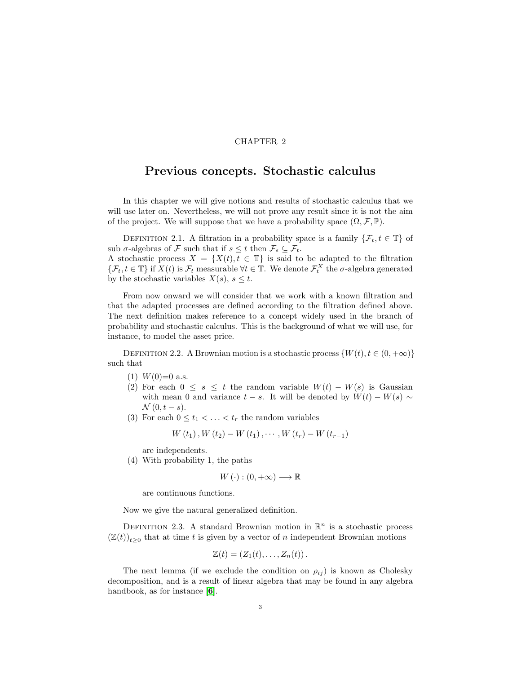### CHAPTER 2

## <span id="page-10-0"></span>Previous concepts. Stochastic calculus

In this chapter we will give notions and results of stochastic calculus that we will use later on. Nevertheless, we will not prove any result since it is not the aim of the project. We will suppose that we have a probability space  $(\Omega, \mathcal{F}, \mathbb{P})$ .

DEFINITION 2.1. A filtration in a probability space is a family  $\{\mathcal{F}_t, t \in \mathbb{T}\}\$  of sub  $\sigma$ -algebras of F such that if  $s \leq t$  then  $\mathcal{F}_s \subseteq \mathcal{F}_t$ . A stochastic process  $X = \{X(t), t \in \mathbb{T}\}\$ is said to be adapted to the filtration

 $\{\mathcal{F}_t, t \in \mathbb{T}\}\$  if  $X(t)$  is  $\mathcal{F}_t$  measurable  $\forall t \in \mathbb{T}$ . We denote  $\mathcal{F}_t^X$  the  $\sigma$ -algebra generated by the stochastic variables  $X(s)$ ,  $s \leq t$ .

From now onward we will consider that we work with a known filtration and that the adapted processes are defined according to the filtration defined above. The next definition makes reference to a concept widely used in the branch of probability and stochastic calculus. This is the background of what we will use, for instance, to model the asset price.

DEFINITION 2.2. A Brownian motion is a stochastic process  $\{W(t), t \in (0, +\infty)\}\$ such that

- $(1)$  W $(0)=0$  a.s.
- (2) For each  $0 \leq s \leq t$  the random variable  $W(t) W(s)$  is Gaussian with mean 0 and variance  $t - s$ . It will be denoted by  $W(t) - W(s) \sim$  $\mathcal{N}(0,t-s).$
- (3) For each  $0 \le t_1 < \ldots < t_r$  the random variables

$$
W(t_1), W(t_2) - W(t_1), \cdots, W(t_r) - W(t_{r-1})
$$

are independents.

(4) With probability 1, the paths

$$
W(\cdot): (0, +\infty) \longrightarrow \mathbb{R}
$$

are continuous functions.

Now we give the natural generalized definition.

DEFINITION 2.3. A standard Brownian motion in  $\mathbb{R}^n$  is a stochastic process  $(\mathbb{Z}(t))_{t\geq0}$  that at time t is given by a vector of n independent Brownian motions

$$
\mathbb{Z}(t)=(Z_1(t),\ldots,Z_n(t)).
$$

The next lemma (if we exclude the condition on  $\rho_{ij}$ ) is known as Cholesky decomposition, and is a result of linear algebra that may be found in any algebra handbook, as for instance [[6](#page-38-7)].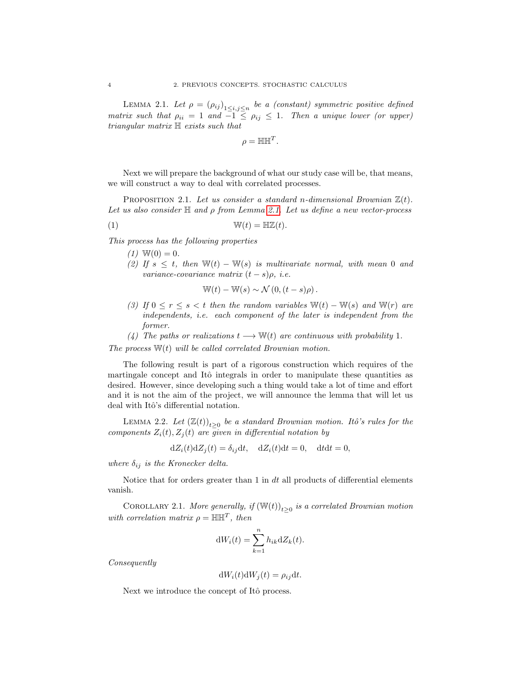<span id="page-11-0"></span>LEMMA 2.1. Let  $\rho = (\rho_{ij})_{1 \leq i,j \leq n}$  be a (constant) symmetric positive defined matrix such that  $\rho_{ii} = 1$  and  $-1 \leq \rho_{ij} \leq 1$ . Then a unique lower (or upper)  $triangular$  matrix  $H$  exists such that

$$
\rho = \mathbb{H} \mathbb{H}^T.
$$

Next we will prepare the background of what our study case will be, that means, we will construct a way to deal with correlated processes.

PROPOSITION 2.1. Let us consider a standard n-dimensional Brownian  $\mathbb{Z}(t)$ . Let us also consider  $\mathbb H$  and  $\rho$  from Lemma [2.1.](#page-11-0) Let us define a new vector-process

(1) W(t) = HZ(t).

This process has the following properties

- $(1) \mathbb{W}(0) = 0.$
- (2) If  $s \leq t$ , then  $\mathbb{W}(t) \mathbb{W}(s)$  is multivariate normal, with mean 0 and variance-covariance matrix  $(t-s)\rho$ , *i.e.*

<span id="page-11-1"></span>
$$
\mathbb{W}(t) - \mathbb{W}(s) \sim \mathcal{N}(0, (t-s)\rho).
$$

- (3) If  $0 \le r \le s < t$  then the random variables  $\mathbb{W}(t) \mathbb{W}(s)$  and  $\mathbb{W}(r)$  are independents, i.e. each component of the later is independent from the former.
- (4) The paths or realizations  $t \longrightarrow W(t)$  are continuous with probability 1.

<span id="page-11-2"></span>The process  $W(t)$  will be called correlated Brownian motion.

The following result is part of a rigorous construction which requires of the martingale concept and Itô integrals in order to manipulate these quantities as desired. However, since developing such a thing would take a lot of time and effort and it is not the aim of the project, we will announce the lemma that will let us deal with Itô's differential notation.

LEMMA 2.2. Let  $(\mathbb{Z}(t))_{t\geq0}$  be a standard Brownian motion. Itô's rules for the components  $Z_i(t)$ ,  $Z_i(t)$  are given in differential notation by

$$
dZ_i(t) dZ_j(t) = \delta_{ij} dt, \quad dZ_i(t) dt = 0, \quad dt dt = 0,
$$

where  $\delta_{ij}$  is the Kronecker delta.

Notice that for orders greater than 1 in  $dt$  all products of differential elements vanish.

COROLLARY 2.1. More generally, if  $(\mathbb{W}(t))_{t\geq 0}$  is a correlated Brownian motion with correlation matrix  $\rho = \mathbb{H} \mathbb{H}^T$ , then

$$
dW_i(t) = \sum_{k=1}^n h_{ik} dZ_k(t).
$$

Consequently

$$
dW_i(t)dW_j(t) = \rho_{ij}dt.
$$

Next we introduce the concept of Itô process.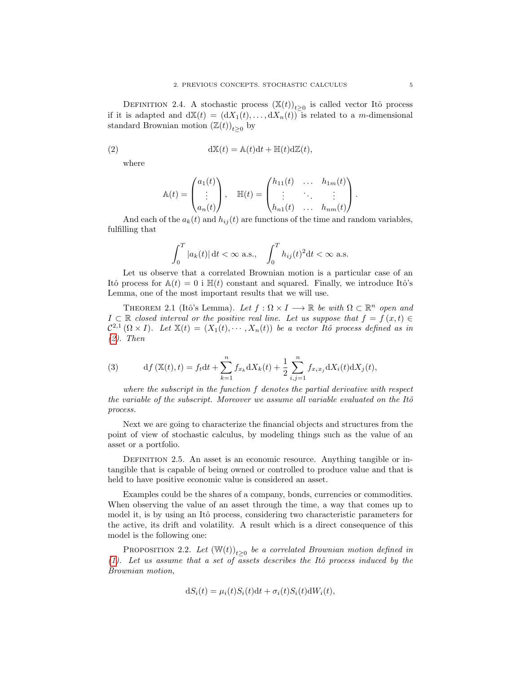DEFINITION 2.4. A stochastic process  $(\mathbb{X}(t))_{t\geq 0}$  is called vector Itô process if it is adapted and  $dX(t) = (dX_1(t), \ldots, dX_n(t))$  is related to a m-dimensional standard Brownian motion  $(\mathbb{Z}(t))_{t\geq 0}$  by

(2) 
$$
d\mathbb{X}(t) = \mathbb{A}(t)dt + \mathbb{H}(t)d\mathbb{Z}(t),
$$

where

<span id="page-12-0"></span>
$$
\mathbb{A}(t) = \begin{pmatrix} a_1(t) \\ \vdots \\ a_n(t) \end{pmatrix}, \quad \mathbb{H}(t) = \begin{pmatrix} h_{11}(t) & \dots & h_{1m}(t) \\ \vdots & \ddots & \vdots \\ h_{n1}(t) & \dots & h_{nm}(t) \end{pmatrix}.
$$

And each of the  $a_k(t)$  and  $h_{ij}(t)$  are functions of the time and random variables, fulfilling that

$$
\int_0^T |a_k(t)| dt < \infty \text{ a.s.}, \quad \int_0^T h_{ij}(t)^2 dt < \infty \text{ a.s.}
$$

Let us observe that a correlated Brownian motion is a particular case of an Itô process for  $\mathbb{A}(t) = 0$  i  $\mathbb{H}(t)$  constant and squared. Finally, we introduce Itô's Lemma, one of the most important results that we will use.

THEOREM 2.1 (Itô's Lemma). Let  $f : \Omega \times I \longrightarrow \mathbb{R}$  be with  $\Omega \subset \mathbb{R}^n$  open and  $I \subset \mathbb{R}$  closed interval or the positive real line. Let us suppose that  $f = f(x, t) \in$  $\mathcal{C}^{2,1}(\Omega \times I)$ . Let  $\mathbb{X}(t) = (X_1(t), \cdots, X_n(t))$  be a vector Itô process defined as in [\(2\)](#page-12-0). Then

<span id="page-12-2"></span>(3) 
$$
df(\mathbb{X}(t),t) = f_t dt + \sum_{k=1}^n f_{x_k} dX_k(t) + \frac{1}{2} \sum_{i,j=1}^n f_{x_i x_j} dX_i(t) dX_j(t),
$$

where the subscript in the function f denotes the partial derivative with respect the variable of the subscript. Moreover we assume all variable evaluated on the Itô process.

Next we are going to characterize the financial objects and structures from the point of view of stochastic calculus, by modeling things such as the value of an asset or a portfolio.

DEFINITION 2.5. An asset is an economic resource. Anything tangible or intangible that is capable of being owned or controlled to produce value and that is held to have positive economic value is considered an asset.

Examples could be the shares of a company, bonds, currencies or commodities. When observing the value of an asset through the time, a way that comes up to model it, is by using an Itô process, considering two characteristic parameters for the active, its drift and volatility. A result which is a direct consequence of this model is the following one:

<span id="page-12-1"></span>PROPOSITION 2.2. Let  $(\mathbb{W}(t))_{t\geq 0}$  be a correlated Brownian motion defined in [\(1\)](#page-11-1). Let us assume that a set of assets describes the Itô process induced by the Brownian motion,

$$
dS_i(t) = \mu_i(t)S_i(t)dt + \sigma_i(t)S_i(t)dW_i(t),
$$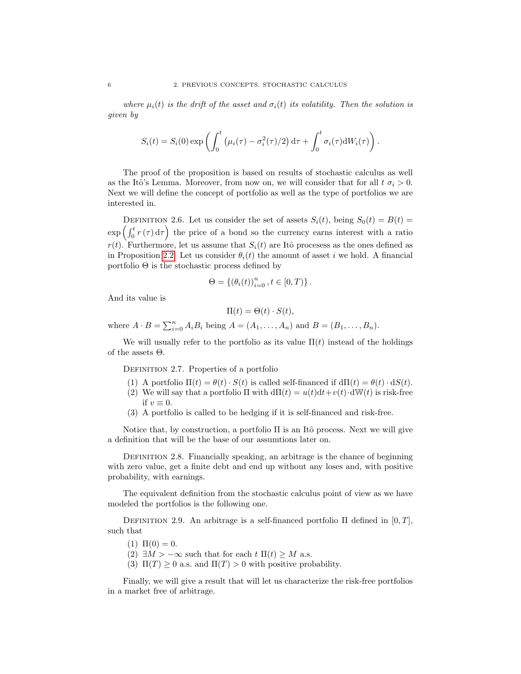where  $\mu_i(t)$  is the drift of the asset and  $\sigma_i(t)$  its volatility. Then the solution is given by

$$
S_i(t) = S_i(0) \exp \left( \int_0^t \left( \mu_i(\tau) - \sigma_i^2(\tau)/2 \right) d\tau + \int_0^t \sigma_i(\tau) dW_i(\tau) \right).
$$

The proof of the proposition is based on results of stochastic calculus as well as the Itô's Lemma. Moreover, from now on, we will consider that for all  $t \sigma_i > 0$ . Next we will define the concept of portfolio as well as the type of portfolios we are interested in.

DEFINITION 2.6. Let us consider the set of assets  $S_i(t)$ , being  $S_0(t) = B(t)$  $\exp\left(\int_0^t r(\tau) d\tau\right)$  the price of a bond so the currency earns interest with a ratio  $r(t)$ . Furthermore, let us assume that  $S_i(t)$  are Itô processes as the ones defined as in Proposition [2.2.](#page-12-1) Let us consider  $\theta_i(t)$  the amount of asset i we hold. A financial portfolio  $\Theta$  is the stochastic process defined by

$$
\Theta = \{ (\theta_i(t))_{i=0}^n, t \in [0, T) \}.
$$

And its value is

$$
\Pi(t) = \Theta(t) \cdot S(t),
$$

where  $A \cdot B = \sum_{i=0}^{n} A_i B_i$  being  $A = (A_1, ..., A_n)$  and  $B = (B_1, ..., B_n)$ .

We will usually refer to the portfolio as its value  $\Pi(t)$  instead of the holdings of the assets Θ.

DEFINITION 2.7. Properties of a portfolio

- (1) A portfolio  $\Pi(t) = \theta(t) \cdot S(t)$  is called self-financed if  $d\Pi(t) = \theta(t) \cdot dS(t)$ .
- (2) We will say that a portfolio  $\Pi$  with  $d\Pi(t) = u(t)dt + v(t) \cdot dW(t)$  is risk-free if  $v \equiv 0$ .
- (3) A portfolio is called to be hedging if it is self-financed and risk-free.

Notice that, by construction, a portfolio  $\Pi$  is an Itô process. Next we will give a definition that will be the base of our assumtions later on.

DEFINITION 2.8. Financially speaking, an arbitrage is the chance of beginning with zero value, get a finite debt and end up without any loses and, with positive probability, with earnings.

The equivalent definition from the stochastic calculus point of view as we have modeled the portfolios is the following one.

DEFINITION 2.9. An arbitrage is a self-financed portfolio  $\Pi$  defined in  $[0, T]$ , such that

(1)  $\Pi(0) = 0$ .

- (2)  $\exists M > -\infty$  such that for each  $t \Pi(t) \geq M$  a.s.
- (3)  $\Pi(T) \geq 0$  a.s. and  $\Pi(T) > 0$  with positive probability.

Finally, we will give a result that will let us characterize the risk-free portfolios in a market free of arbitrage.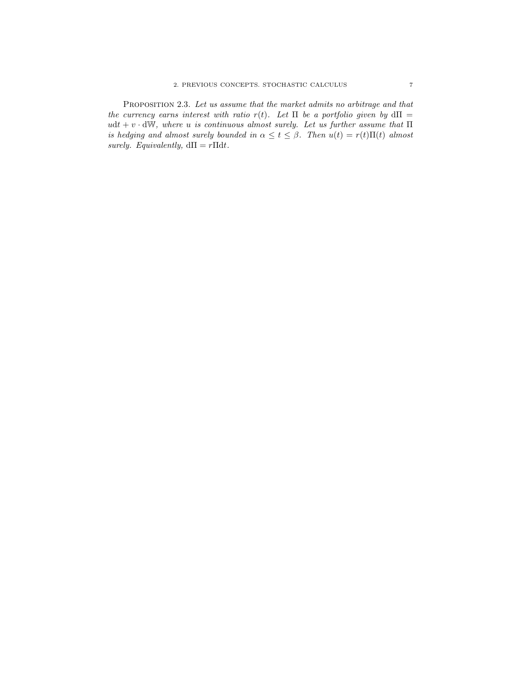<span id="page-14-0"></span>PROPOSITION 2.3. Let us assume that the market admits no arbitrage and that the currency earns interest with ratio r(t). Let  $\Pi$  be a portfolio given by  $d\Pi$  = udt + v · dW, where u is continuous almost surely. Let us further assume that  $\Pi$ is hedging and almost surely bounded in  $\alpha \leq t \leq \beta$ . Then  $u(t) = r(t)\Pi(t)$  almost surely. Equivalently,  $d\Pi = r\Pi dt$ .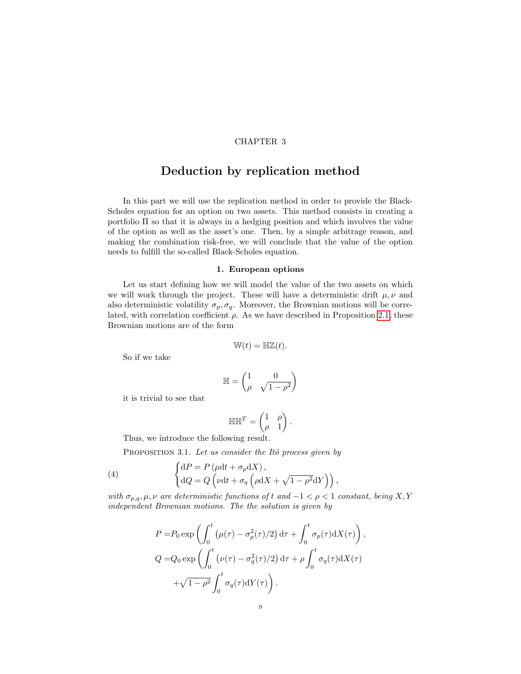### CHAPTER 3

## <span id="page-16-0"></span>Deduction by replication method

In this part we will use the replication method in order to provide the Black-Scholes equation for an option on two assets. This method consists in creating a portfolio  $\Pi$  so that it is always in a hedging position and which involves the value of the option as well as the asset's one. Then, by a simple arbitrage reason, and making the combination risk-free, we will conclude that the value of the option needs to fulfill the so-called Black-Scholes equation.

#### 1. European options

<span id="page-16-1"></span>Let us start defining how we will model the value of the two assets on which we will work through the project. These will have a deterministic drift  $\mu, \nu$  and also deterministic volatility  $\sigma_p, \sigma_q$ . Moreover, the Brownian motions will be correlated, with correlation coefficient  $\rho$ . As we have described in Proposition [2.1,](#page-11-2) these Brownian motions are of the form

$$
\mathbb{W}(t) = \mathbb{H}\mathbb{Z}(t).
$$

So if we take

$$
\mathbb{H} = \begin{pmatrix} 1 & 0 \\ \rho & \sqrt{1 - \rho^2} \end{pmatrix}
$$

it is trivial to see that

$$
\mathbb{H}\mathbb{H}^T = \begin{pmatrix} 1 & \rho \\ \rho & 1 \end{pmatrix}.
$$

Thus, we introduce the following result.

<span id="page-16-2"></span>PROPOSITION 3.1. Let us consider the Itô process given by

(4) 
$$
\begin{cases} dP = P(\mu dt + \sigma_p dX), \\ dQ = Q(\nu dt + \sigma_q(\rho dX + \sqrt{1 - \rho^2} dY)), \end{cases}
$$

with  $\sigma_{p,q}, \mu, \nu$  are deterministic functions of t and  $-1 < \rho < 1$  constant, being X, Y independent Brownian motions. The the solution is given by

$$
P = P_0 \exp\left(\int_0^t \left(\mu(\tau) - \sigma_p^2(\tau)/2\right) d\tau + \int_0^t \sigma_p(\tau) dX(\tau)\right),
$$
  

$$
Q = Q_0 \exp\left(\int_0^t \left(\nu(\tau) - \sigma_q^2(\tau)/2\right) d\tau + \rho \int_0^t \sigma_q(\tau) dX(\tau)\right)
$$
  

$$
+ \sqrt{1 - \rho^2} \int_0^t \sigma_q(\tau) dY(\tau).
$$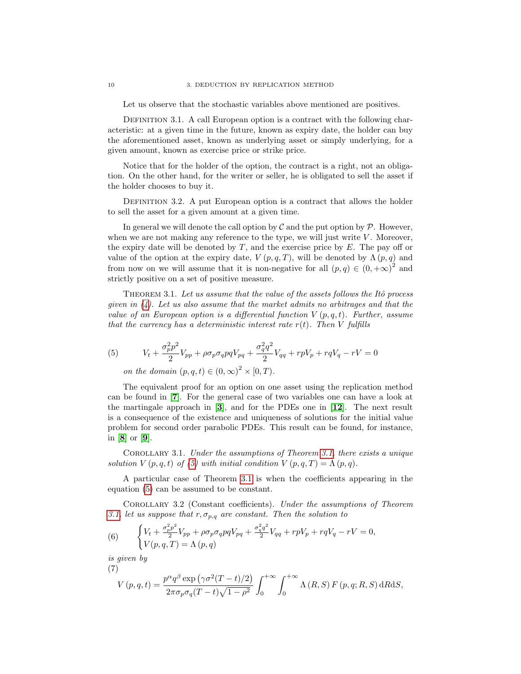Let us observe that the stochastic variables above mentioned are positives.

DEFINITION 3.1. A call European option is a contract with the following characteristic: at a given time in the future, known as expiry date, the holder can buy the aforementioned asset, known as underlying asset or simply underlying, for a given amount, known as exercise price or strike price.

Notice that for the holder of the option, the contract is a right, not an obligation. On the other hand, for the writer or seller, he is obligated to sell the asset if the holder chooses to buy it.

DEFINITION 3.2. A put European option is a contract that allows the holder to sell the asset for a given amount at a given time.

In general we will denote the call option by  $\mathcal C$  and the put option by  $\mathcal P$ . However, when we are not making any reference to the type, we will just write  $V$ . Moreover, the expiry date will be denoted by  $T$ , and the exercise price by  $E$ . The pay off or value of the option at the expiry date,  $V(p,q,T)$ , will be denoted by  $\Lambda(p,q)$  and from now on we will assume that it is non-negative for all  $(p, q) \in (0, +\infty)^2$  and strictly positive on a set of positive measure.

THEOREM 3.1. Let us assume that the value of the assets follows the Itô process given in  $(4)$ . Let us also assume that the market admits no arbitrages and that the value of an European option is a differential function  $V(p, q, t)$ . Further, assume that the currency has a deterministic interest rate  $r(t)$ . Then V fulfills

(5) 
$$
V_t + \frac{\sigma_p^2 p^2}{2} V_{pp} + \rho \sigma_p \sigma_q p q V_{pq} + \frac{\sigma_q^2 q^2}{2} V_{qq} + r p V_p + r q V_q - r V = 0
$$

<span id="page-17-0"></span>on the domain  $(p, q, t) \in (0, \infty)^2 \times [0, T)$ .

The equivalent proof for an option on one asset using the replication method can be found in [[7](#page-38-8)]. For the general case of two variables one can have a look at the martingale approach in [[3](#page-38-4)], and for the PDEs one in [[12](#page-38-6)]. The next result is a consequence of the existence and uniqueness of solutions for the initial value problem for second order parabolic PDEs. This result can be found, for instance, in [[8](#page-38-9)] or [[9](#page-38-10)].

Corollary 3.1. Under the assumptions of Theorem [3.1,](#page-17-0) there exists a unique solution  $V(p,q,t)$  of [\(5\)](#page-17-0) with initial condition  $V(p,q,T) = \Lambda(p,q)$ .

A particular case of Theorem [3.1](#page-17-0) is when the coefficients appearing in the equation [\(5\)](#page-17-0) can be assumed to be constant.

Corollary 3.2 (Constant coefficients). Under the assumptions of Theorem [3.1,](#page-17-0) let us suppose that  $r, \sigma_{p,q}$  are constant. Then the solution to

(6) 
$$
\begin{cases} V_t + \frac{\sigma_p^2 p^2}{2} V_{pp} + \rho \sigma_p \sigma_q p q V_{pq} + \frac{\sigma_q^2 q^2}{2} V_{qq} + r p V_p + r q V_q - r V = 0, \\ V(p, q, T) = \Lambda(p, q) \end{cases}
$$

is given by

<span id="page-17-1"></span>(7)  
\n
$$
V(p,q,t) = \frac{p^{\alpha}q^{\beta}\exp\left(\gamma\sigma^{2}(T-t)/2\right)}{2\pi\sigma_{p}\sigma_{q}(T-t)\sqrt{1-\rho^{2}}} \int_{0}^{+\infty} \int_{0}^{+\infty} \Lambda(R,S) F(p,q;R,S) dR dS,
$$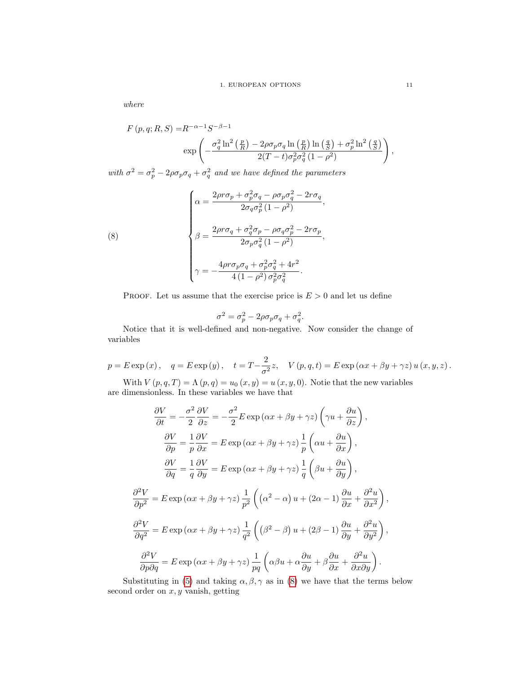where

$$
F(p,q;R,S) = R^{-\alpha-1}S^{-\beta-1}
$$
  

$$
\exp\left(-\frac{\sigma_q^2 \ln^2\left(\frac{p}{R}\right) - 2\rho\sigma_p\sigma_q \ln\left(\frac{p}{R}\right) \ln\left(\frac{q}{S}\right) + \sigma_p^2 \ln^2\left(\frac{q}{S}\right)}{2(T-t)\sigma_p^2 \sigma_q^2 (1-\rho^2)}\right),
$$

with  $\sigma^2 = \sigma_p^2 - 2\rho\sigma_p\sigma_q + \sigma_q^2$  and we have defined the parameters

(8)  

$$
\begin{cases}\n\alpha = \frac{2\rho r \sigma_p + \sigma_p^2 \sigma_q - \rho \sigma_p \sigma_q^2 - 2r \sigma_q}{2\sigma_q \sigma_p^2 (1 - \rho^2)},\\
\beta = \frac{2\rho r \sigma_q + \sigma_q^2 \sigma_p - \rho \sigma_q \sigma_p^2 - 2r \sigma_p}{2\sigma_p \sigma_q^2 (1 - \rho^2)},\\
\gamma = -\frac{4\rho r \sigma_p \sigma_q + \sigma_p^2 \sigma_q^2 + 4r^2}{4(1 - \rho^2) \sigma_p^2 \sigma_q^2}.\n\end{cases}
$$

PROOF. Let us assume that the exercise price is  $E > 0$  and let us define

<span id="page-18-0"></span>
$$
\sigma^2 = \sigma_p^2 - 2\rho\sigma_p\sigma_q + \sigma_q^2.
$$

Notice that it is well-defined and non-negative. Now consider the change of variables

$$
p = E \exp(x)
$$
,  $q = E \exp(y)$ ,  $t = T - \frac{2}{\sigma^2} z$ ,  $V(p, q, t) = E \exp(\alpha x + \beta y + \gamma z) u(x, y, z)$ .

With  $V(p,q,T) = \Lambda(p,q) = u_0(x,y) = u(x,y,0)$ . Notie that the new variables are dimensionless. In these variables we have that

$$
\frac{\partial V}{\partial t} = -\frac{\sigma^2}{2} \frac{\partial V}{\partial z} = -\frac{\sigma^2}{2} E \exp(\alpha x + \beta y + \gamma z) \left(\gamma u + \frac{\partial u}{\partial z}\right),
$$
  

$$
\frac{\partial V}{\partial p} = \frac{1}{p} \frac{\partial V}{\partial x} = E \exp(\alpha x + \beta y + \gamma z) \frac{1}{p} \left(\alpha u + \frac{\partial u}{\partial x}\right),
$$
  

$$
\frac{\partial V}{\partial q} = \frac{1}{q} \frac{\partial V}{\partial y} = E \exp(\alpha x + \beta y + \gamma z) \frac{1}{q} \left(\beta u + \frac{\partial u}{\partial y}\right),
$$
  

$$
\frac{\partial^2 V}{\partial p^2} = E \exp(\alpha x + \beta y + \gamma z) \frac{1}{p^2} \left((\alpha^2 - \alpha) u + (2\alpha - 1) \frac{\partial u}{\partial x} + \frac{\partial^2 u}{\partial x^2}\right),
$$
  

$$
\frac{\partial^2 V}{\partial q^2} = E \exp(\alpha x + \beta y + \gamma z) \frac{1}{q^2} \left((\beta^2 - \beta) u + (2\beta - 1) \frac{\partial u}{\partial y} + \frac{\partial^2 u}{\partial y^2}\right),
$$
  

$$
\frac{\partial^2 V}{\partial p \partial q} = E \exp(\alpha x + \beta y + \gamma z) \frac{1}{pq} \left(\alpha \beta u + \alpha \frac{\partial u}{\partial y} + \beta \frac{\partial u}{\partial x} + \frac{\partial^2 u}{\partial x \partial y}\right).
$$

Substituting in [\(5\)](#page-17-0) and taking  $\alpha, \beta, \gamma$  as in [\(8\)](#page-18-0) we have that the terms below second order on  $x, y$  vanish, getting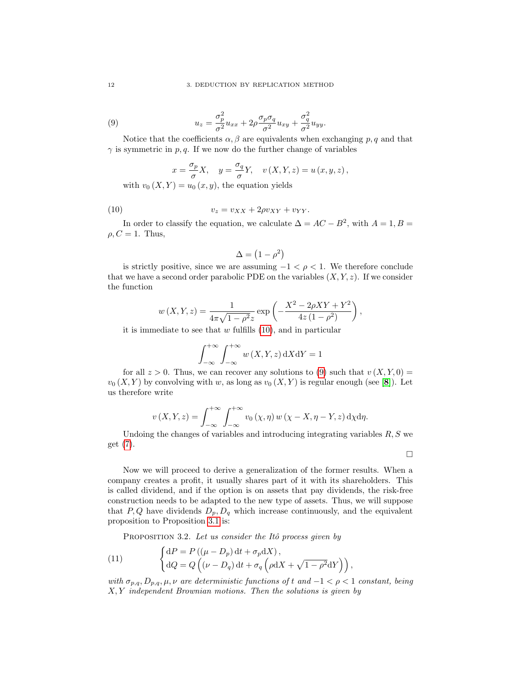(9) 
$$
u_z = \frac{\sigma_p^2}{\sigma^2} u_{xx} + 2\rho \frac{\sigma_p \sigma_q}{\sigma^2} u_{xy} + \frac{\sigma_q^2}{\sigma^2} u_{yy}.
$$

Notice that the coefficients  $\alpha, \beta$  are equivalents when exchanging p, q and that  $\gamma$  is symmetric in p, q. If we now do the further change of variables

<span id="page-19-1"></span>
$$
x = \frac{\sigma_p}{\sigma} X, \quad y = \frac{\sigma_q}{\sigma} Y, \quad v(X, Y, z) = u(x, y, z),
$$

with  $v_0(X, Y) = u_0(x, y)$ , the equation yields

$$
(10) \t\t v_z = v_{XX} + 2\rho v_{XY} + v_{YY}.
$$

In order to classify the equation, we calculate  $\Delta = AC - B^2$ , with  $A = 1, B =$  $\rho, C = 1$ . Thus,

<span id="page-19-0"></span>
$$
\Delta = \left(1-\rho^2\right)
$$

is strictly positive, since we are assuming  $-1 < \rho < 1$ . We therefore conclude that we have a second order parabolic PDE on the variables  $(X, Y, z)$ . If we consider the function

$$
w(X,Y,z) = \frac{1}{4\pi\sqrt{1-\rho^2}z} \exp\left(-\frac{X^2 - 2\rho XY + Y^2}{4z(1-\rho^2)}\right),\,
$$

it is immediate to see that  $w$  fulfills  $(10)$ , and in particular

$$
\int_{-\infty}^{+\infty} \int_{-\infty}^{+\infty} w(X, Y, z) \, dX dY = 1
$$

for all  $z > 0$ . Thus, we can recover any solutions to [\(9\)](#page-19-1) such that  $v(X, Y, 0) =$  $v_0(X, Y)$  by convolving with w, as long as  $v_0(X, Y)$  is regular enough (see [[8](#page-38-9)]). Let us therefore write

$$
v(X,Y,z) = \int_{-\infty}^{+\infty} \int_{-\infty}^{+\infty} v_0(x,\eta) w(x-X,\eta-Y,z) \,d\chi d\eta.
$$

Undoing the changes of variables and introducing integrating variables  $R, S$  we get [\(7\)](#page-17-1).

 $\Box$ 

Now we will proceed to derive a generalization of the former results. When a company creates a profit, it usually shares part of it with its shareholders. This is called dividend, and if the option is on assets that pay dividends, the risk-free construction needs to be adapted to the new type of assets. Thus, we will suppose that P, Q have dividends  $D_p$ ,  $D_q$  which increase continuously, and the equivalent proposition to Proposition [3.1](#page-16-2) is:

<span id="page-19-2"></span>PROPOSITION 3.2. Let us consider the Itô process given by

(11) 
$$
\begin{cases} dP = P((\mu - D_p) dt + \sigma_p dX), \\ dQ = Q((\nu - D_q) dt + \sigma_q (\rho dX + \sqrt{1 - \rho^2} dY)), \end{cases}
$$

with  $\sigma_{p,q}, D_{p,q}, \mu, \nu$  are deterministic functions of t and  $-1 < \rho < 1$  constant, being  $X, Y$  independent Brownian motions. Then the solutions is given by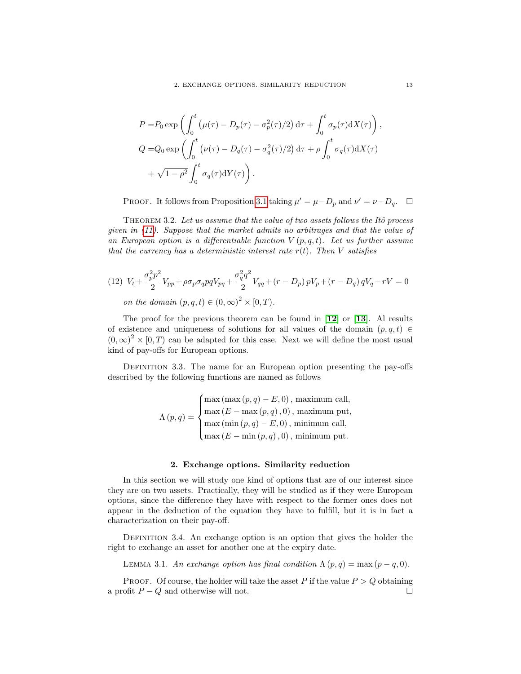$$
P = P_0 \exp\left(\int_0^t \left(\mu(\tau) - D_p(\tau) - \sigma_p^2(\tau)/2\right) d\tau + \int_0^t \sigma_p(\tau) dX(\tau)\right),
$$
  
\n
$$
Q = Q_0 \exp\left(\int_0^t \left(\nu(\tau) - D_q(\tau) - \sigma_q^2(\tau)/2\right) d\tau + \rho \int_0^t \sigma_q(\tau) dX(\tau)\right)
$$
  
\n
$$
+ \sqrt{1 - \rho^2} \int_0^t \sigma_q(\tau) dY(\tau).
$$

PROOF. It follows from Proposition [3.1](#page-16-2) taking  $\mu' = \mu - D_p$  and  $\nu' = \nu - D_q$ .  $\Box$ 

THEOREM 3.2. Let us assume that the value of two assets follows the Itô process given in [\(11\)](#page-19-2). Suppose that the market admits no arbitrages and that the value of an European option is a differentiable function  $V(p,q,t)$ . Let us further assume that the currency has a deterministic interest rate  $r(t)$ . Then V satisfies

<span id="page-20-1"></span>(12) 
$$
V_t + \frac{\sigma_p^2 p^2}{2} V_{pp} + \rho \sigma_p \sigma_q p q V_{pq} + \frac{\sigma_q^2 q^2}{2} V_{qq} + (r - D_p) p V_p + (r - D_q) q V_q - rV = 0
$$
  
on the domain  $(p, q, t) \in (0, \infty)^2 \times [0, T)$ .

The proof for the previous theorem can be found in  $[12]$  $[12]$  $[12]$  or  $[13]$  $[13]$  $[13]$ . Al results of existence and uniqueness of solutions for all values of the domain  $(p, q, t) \in$  $(0, \infty)^2 \times [0, T)$  can be adapted for this case. Next we will define the most usual kind of pay-offs for European options.

<span id="page-20-2"></span>DEFINITION 3.3. The name for an European option presenting the pay-offs described by the following functions are named as follows

$$
\Lambda(p,q) = \begin{cases} \max(\max(p,q) - E, 0), \text{ maximum call,} \\ \max(E - \max(p,q), 0), \text{ maximum put,} \\ \max(\min(p,q) - E, 0), \text{ minimum call,} \\ \max(E - \min(p,q), 0), \text{ minimum put.} \end{cases}
$$

#### 2. Exchange options. Similarity reduction

<span id="page-20-0"></span>In this section we will study one kind of options that are of our interest since they are on two assets. Practically, they will be studied as if they were European options, since the difference they have with respect to the former ones does not appear in the deduction of the equation they have to fulfill, but it is in fact a characterization on their pay-off.

DEFINITION 3.4. An exchange option is an option that gives the holder the right to exchange an asset for another one at the expiry date.

LEMMA 3.1. An exchange option has final condition  $\Lambda(p,q) = \max(p-q, 0)$ .

PROOF. Of course, the holder will take the asset P if the value  $P > Q$  obtaining a profit  $P - Q$  and otherwise will not.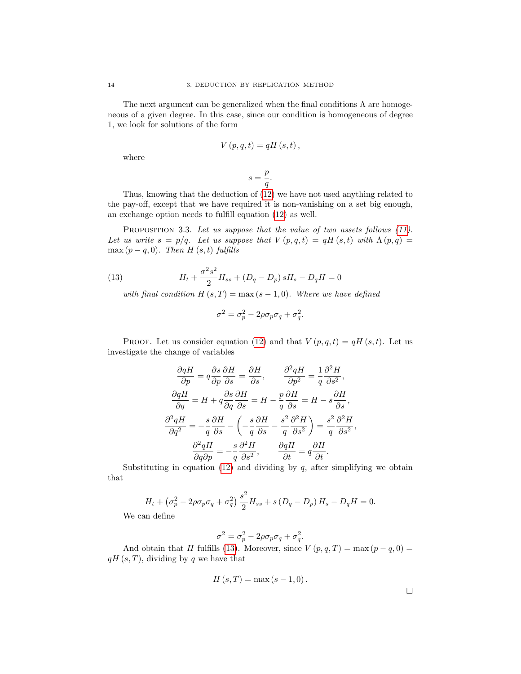The next argument can be generalized when the final conditions  $\Lambda$  are homogeneous of a given degree. In this case, since our condition is homogeneous of degree 1, we look for solutions of the form

$$
V(p,q,t) = qH(s,t),
$$

where

$$
s = \frac{p}{q}.
$$

Thus, knowing that the deduction of [\(12\)](#page-20-1) we have not used anything related to the pay-off, except that we have required it is non-vanishing on a set big enough, an exchange option needs to fulfill equation [\(12\)](#page-20-1) as well.

PROPOSITION 3.3. Let us suppose that the value of two assets follows [\(11\)](#page-19-2). Let us write  $s = p/q$ . Let us suppose that  $V(p,q,t) = qH(s,t)$  with  $\Lambda(p,q) =$ max  $(p - q, 0)$ . Then H  $(s, t)$  fulfills

(13) 
$$
H_t + \frac{\sigma^2 s^2}{2} H_{ss} + (D_q - D_p) s H_s - D_q H = 0
$$

with final condition  $H(s,T) = \max(s-1,0)$ . Where we have defined

<span id="page-21-0"></span>
$$
\sigma^2 = \sigma_p^2 - 2\rho\sigma_p\sigma_q + \sigma_q^2.
$$

PROOF. Let us consider equation [\(12\)](#page-20-1) and that  $V(p,q,t) = qH(s,t)$ . Let us investigate the change of variables

$$
\frac{\partial qH}{\partial p} = q \frac{\partial s}{\partial p} \frac{\partial H}{\partial s} = \frac{\partial H}{\partial s}, \qquad \frac{\partial^2 qH}{\partial p^2} = \frac{1}{q} \frac{\partial^2 H}{\partial s^2},
$$

$$
\frac{\partial qH}{\partial q} = H + q \frac{\partial s}{\partial q} \frac{\partial H}{\partial s} = H - \frac{p}{q} \frac{\partial H}{\partial s} = H - s \frac{\partial H}{\partial s},
$$

$$
\frac{\partial^2 qH}{\partial q^2} = -\frac{s}{q} \frac{\partial H}{\partial s} - \left(-\frac{s}{q} \frac{\partial H}{\partial s} - \frac{s^2}{q} \frac{\partial^2 H}{\partial s^2}\right) = \frac{s^2}{q} \frac{\partial^2 H}{\partial s^2},
$$

$$
\frac{\partial^2 qH}{\partial q \partial p} = -\frac{s}{q} \frac{\partial^2 H}{\partial s^2}, \qquad \frac{\partial qH}{\partial t} = q \frac{\partial H}{\partial t}.
$$

Substituting in equation [\(12\)](#page-20-1) and dividing by  $q$ , after simplifying we obtain that

$$
H_t + \left(\sigma_p^2 - 2\rho\sigma_p\sigma_q + \sigma_q^2\right) \frac{s^2}{2} H_{ss} + s\left(D_q - D_p\right) H_s - D_q H = 0.
$$

We can define

$$
\sigma^2 = \sigma_p^2 - 2\rho\sigma_p\sigma_q + \sigma_q^2.
$$

And obtain that H fulfills [\(13\)](#page-21-0). Moreover, since  $V(p,q,T) = \max (p-q,0) =$  $qH(s,T)$ , dividing by q we have that

$$
H(s,T) = \max(s-1,0).
$$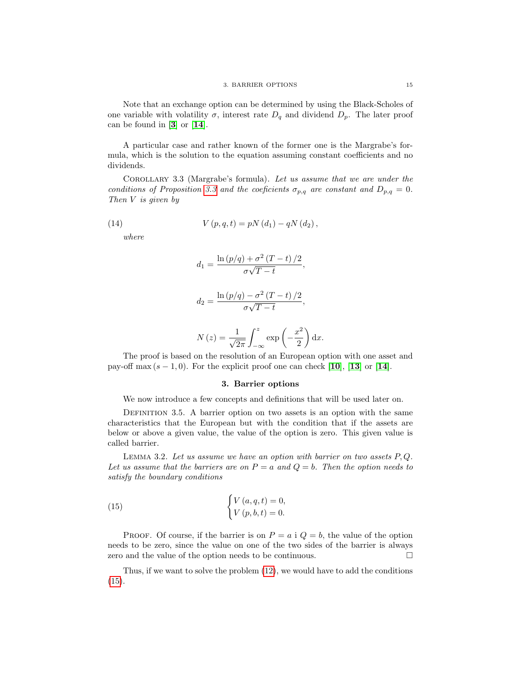Note that an exchange option can be determined by using the Black-Scholes of one variable with volatility  $\sigma$ , interest rate  $D_q$  and dividend  $D_p$ . The later proof can be found in  $[3]$  $[3]$  $[3]$  or  $[14]$  $[14]$  $[14]$ .

A particular case and rather known of the former one is the Margrabe's formula, which is the solution to the equation assuming constant coefficients and no dividends.

Corollary 3.3 (Margrabe's formula). Let us assume that we are under the conditions of Proposition [3.3](#page-21-0) and the coeficients  $\sigma_{p,q}$  are constant and  $D_{p,q} = 0$ . Then V is given by

(14) 
$$
V(p,q,t) = pN(d_1) - qN(d_2),
$$

where

$$
d_1 = \frac{\ln (p/q) + \sigma^2 (T - t)/2}{\sigma \sqrt{T - t}},
$$

$$
d_2 = \frac{\ln (p/q) - \sigma^2 (T - t)/2}{\sigma\sqrt{T - t}},
$$

$$
N(z) = \frac{1}{\sqrt{2\pi}} \int_{-\infty}^{z} \exp\left(-\frac{x^2}{2}\right) dx.
$$

The proof is based on the resolution of an European option with one asset and pay-off max  $(s - 1, 0)$ . For the explicit proof one can check [[10](#page-38-13)], [[13](#page-38-11)] or [[14](#page-38-12)].

### 3. Barrier options

<span id="page-22-0"></span>We now introduce a few concepts and definitions that will be used later on.

Definition 3.5. A barrier option on two assets is an option with the same characteristics that the European but with the condition that if the assets are below or above a given value, the value of the option is zero. This given value is called barrier.

LEMMA 3.2. Let us assume we have an option with barrier on two assets  $P, Q$ . Let us assume that the barriers are on  $P = a$  and  $Q = b$ . Then the option needs to satisfy the boundary conditions

<span id="page-22-1"></span>(15) 
$$
\begin{cases} V(a,q,t) = 0, \\ V(p,b,t) = 0. \end{cases}
$$

PROOF. Of course, if the barrier is on  $P = a$  i  $Q = b$ , the value of the option needs to be zero, since the value on one of the two sides of the barrier is always zero and the value of the option needs to be continuous.

Thus, if we want to solve the problem [\(12\)](#page-20-1), we would have to add the conditions  $(15).$  $(15).$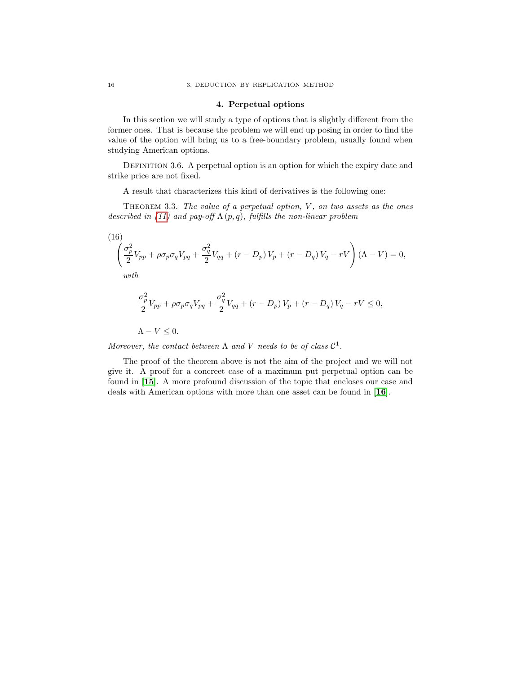#### 4. Perpetual options

<span id="page-23-0"></span>In this section we will study a type of options that is slightly different from the former ones. That is because the problem we will end up posing in order to find the value of the option will bring us to a free-boundary problem, usually found when studying American options.

DEFINITION 3.6. A perpetual option is an option for which the expiry date and strike price are not fixed.

A result that characterizes this kind of derivatives is the following one:

THEOREM 3.3. The value of a perpetual option,  $V$ , on two assets as the ones described in [\(11\)](#page-19-2) and pay-off  $\Lambda(p,q)$ , fulfills the non-linear problem

<span id="page-23-1"></span>(16)  
\n
$$
\left(\frac{\sigma_p^2}{2}V_{pp} + \rho \sigma_p \sigma_q V_{pq} + \frac{\sigma_q^2}{2}V_{qq} + (r - D_p)V_p + (r - D_q)V_q - rV\right)(\Lambda - V) = 0,
$$
\nwith

 $w\nu$ 

$$
\frac{\sigma_p^2}{2}V_{pp} + \rho \sigma_p \sigma_q V_{pq} + \frac{\sigma_q^2}{2} V_{qq} + (r - D_p) V_p + (r - D_q) V_q - rV \le 0,
$$

 $\Lambda - V \leq 0.$ 

Moreover, the contact between  $\Lambda$  and V needs to be of class  $\mathcal{C}^1$ .

The proof of the theorem above is not the aim of the project and we will not give it. A proof for a concreet case of a maximum put perpetual option can be found in [[15](#page-38-14)]. A more profound discussion of the topic that encloses our case and deals with American options with more than one asset can be found in [[16](#page-38-15)].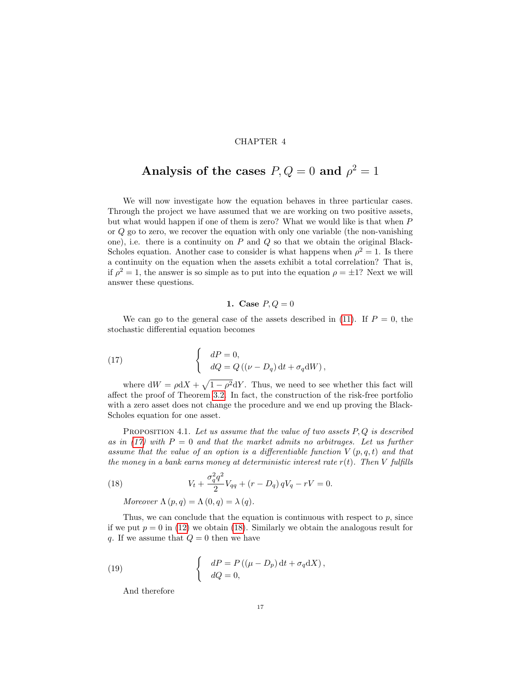#### CHAPTER 4

# <span id="page-24-0"></span>Analysis of the cases  $P, Q = 0$  and  $\rho^2 = 1$

We will now investigate how the equation behaves in three particular cases. Through the project we have assumed that we are working on two positive assets, but what would happen if one of them is zero? What we would like is that when P or  $Q$  go to zero, we recover the equation with only one variable (the non-vanishing one), i.e. there is a continuity on  $P$  and  $Q$  so that we obtain the original Black-Scholes equation. Another case to consider is what happens when  $\rho^2 = 1$ . Is there a continuity on the equation when the assets exhibit a total correlation? That is, if  $\rho^2 = 1$ , the answer is so simple as to put into the equation  $\rho = \pm 1$ ? Next we will answer these questions.

### <span id="page-24-2"></span>1. Case  $P, Q = 0$

<span id="page-24-1"></span>We can go to the general case of the assets described in [\(11\)](#page-19-2). If  $P = 0$ , the stochastic differential equation becomes

(17) 
$$
\begin{cases} dP = 0, \\ dQ = Q((\nu - D_q) dt + \sigma_q dW), \end{cases}
$$

where  $dW = \rho dX + \sqrt{1 - \rho^2} dY$ . Thus, we need to see whether this fact will affect the proof of Theorem [3.2.](#page-20-1) In fact, the construction of the risk-free portfolio with a zero asset does not change the procedure and we end up proving the Black-Scholes equation for one asset.

PROPOSITION 4.1. Let us assume that the value of two assets  $P, Q$  is described as in [\(17\)](#page-24-2) with  $P = 0$  and that the market admits no arbitrages. Let us further assume that the value of an option is a differentiable function  $V(p,q,t)$  and that the money in a bank earns money at deterministic interest rate  $r(t)$ . Then V fulfills

(18) 
$$
V_t + \frac{\sigma_q^2 q^2}{2} V_{qq} + (r - D_q) q V_q - rV = 0.
$$

<span id="page-24-3"></span>Moreover  $\Lambda(p,q) = \Lambda(0,q) = \lambda(q)$ .

Thus, we can conclude that the equation is continuous with respect to  $p$ , since if we put  $p = 0$  in [\(12\)](#page-20-1) we obtain [\(18\)](#page-24-3). Similarly we obtain the analogous result for q. If we assume that  $Q = 0$  then we have

(19) 
$$
\begin{cases} dP = P((\mu - D_p) dt + \sigma_q dX), \\ dQ = 0, \end{cases}
$$

<span id="page-24-4"></span>And therefore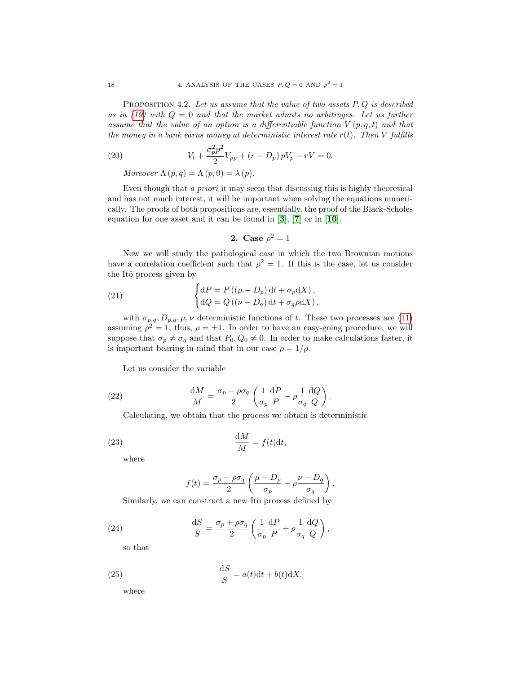PROPOSITION 4.2. Let us assume that the value of two assets  $P, Q$  is described as in [\(19\)](#page-24-4) with  $Q = 0$  and that the market admits no arbitrages. Let us further assume that the value of an option is a differentiable function  $V(p,q,t)$  and that the money in a bank earns money at deterministic interest rate  $r(t)$ . Then V fulfills

(20) 
$$
V_t + \frac{\sigma_p^2 p^2}{2} V_{pp} + (r - D_p) p V_p - rV = 0.
$$

<span id="page-25-6"></span>Moreover  $\Lambda(p,q) = \Lambda(p,0) = \lambda(p)$ .

Even though that a priori it may seem that discussing this is highly theoretical and has not much interest, it will be important when solving the equations numerically. The proofs of both propositions are, essentially, the proof of the Black-Scholes equation for one asset and it can be found in  $[3]$  $[3]$  $[3]$ ,  $[7]$  $[7]$  $[7]$  or in  $[10]$  $[10]$  $[10]$ .

<span id="page-25-3"></span>**2. Case** 
$$
\rho^2 = 1
$$

<span id="page-25-0"></span>Now we will study the pathological case in which the two Brownian motions have a correlation coefficient such that  $\rho^2 = 1$ . If this is the case, let us consider the Itô process given by

(21) 
$$
\begin{cases} dP = P((\mu - D_p) dt + \sigma_p dX), \\ dQ = Q((\nu - D_q) dt + \sigma_q \rho dX), \end{cases}
$$

with  $\sigma_{p,q}, D_{p,q}, \mu, \nu$  deterministic functions of t. These two processes are [\(11\)](#page-19-2) assuming  $\rho^2 = 1$ , thus,  $\rho = \pm 1$ . In order to have an easy-going procedure, we will suppose that  $\sigma_p \neq \sigma_q$  and that  $P_0, Q_0 \neq 0$ . In order to make calculations faster, it is important bearing in mind that in our case  $\rho = 1/\rho$ .

Let us consider the variable

(22) 
$$
\frac{dM}{M} = \frac{\sigma_p - \rho \sigma_q}{2} \left( \frac{1}{\sigma_p} \frac{dP}{P} - \rho \frac{1}{\sigma_q} \frac{dQ}{Q} \right).
$$

<span id="page-25-4"></span>Calculating, we obtain that the process we obtain is deterministic

(23) 
$$
\frac{\mathrm{d}M}{M} = f(t)\mathrm{d}t,
$$

where

<span id="page-25-5"></span><span id="page-25-1"></span>
$$
f(t) = \frac{\sigma_p - \rho \sigma_q}{2} \left( \frac{\mu - D_p}{\sigma_p} - \rho \frac{\nu - D_q}{\sigma_q} \right).
$$

Similarly, we can construct a new Itô process defined by

(24) 
$$
\frac{\mathrm{d}S}{S} = \frac{\sigma_p + \rho \sigma_q}{2} \left( \frac{1}{\sigma_p} \frac{\mathrm{d}P}{P} + \rho \frac{1}{\sigma_q} \frac{\mathrm{d}Q}{Q} \right),
$$

so that

(25) 
$$
\frac{\mathrm{d}S}{S} = a(t)\mathrm{d}t + b(t)\mathrm{d}X,
$$

<span id="page-25-2"></span>where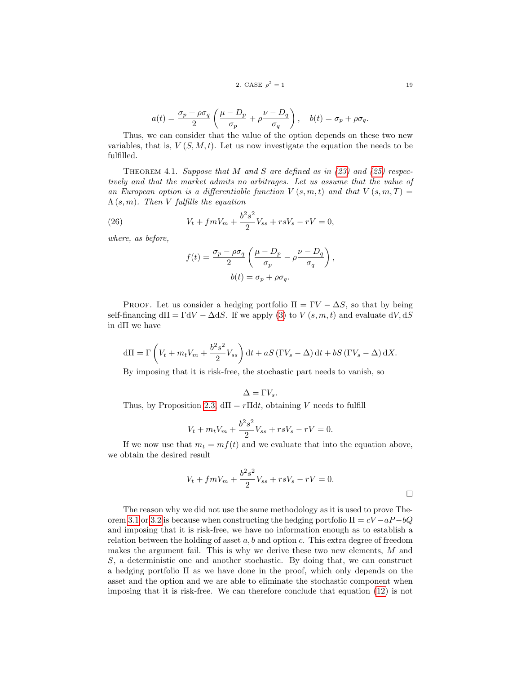$$
2. CASE \t\rho^2 = 1 \t\t\t19
$$

$$
a(t) = \frac{\sigma_p + \rho \sigma_q}{2} \left( \frac{\mu - D_p}{\sigma_p} + \rho \frac{\nu - D_q}{\sigma_q} \right), \quad b(t) = \sigma_p + \rho \sigma_q.
$$

Thus, we can consider that the value of the option depends on these two new variables, that is,  $V(S, M, t)$ . Let us now investigate the equation the needs to be fulfilled.

THEOREM 4.1. Suppose that M and S are defined as in  $(23)$  and  $(25)$  respectively and that the market admits no arbitrages. Let us assume that the value of an European option is a differentiable function  $V(s, m, t)$  and that  $V(s, m, T) =$  $\Lambda(s,m)$ . Then V fulfills the equation

(26) 
$$
V_t + fmV_m + \frac{b^2s^2}{2}V_{ss} + rsV_s - rV = 0,
$$

where, as before,

<span id="page-26-0"></span>
$$
f(t) = \frac{\sigma_p - \rho \sigma_q}{2} \left( \frac{\mu - D_p}{\sigma_p} - \rho \frac{\nu - D_q}{\sigma_q} \right),
$$

$$
b(t) = \sigma_p + \rho \sigma_q.
$$

PROOF. Let us consider a hedging portfolio  $\Pi = \Gamma V - \Delta S$ , so that by being self-financing  $d\Pi = \Gamma dV - \Delta dS$ . If we apply [\(3\)](#page-12-2) to  $V(s, m, t)$  and evaluate  $dV, dS$ in dΠ we have

$$
d\Pi = \Gamma \left( V_t + m_t V_m + \frac{b^2 s^2}{2} V_{ss} \right) dt + aS \left( \Gamma V_s - \Delta \right) dt + bS \left( \Gamma V_s - \Delta \right) dX.
$$

By imposing that it is risk-free, the stochastic part needs to vanish, so

$$
\Delta = \Gamma V_s.
$$

Thus, by Proposition [2.3,](#page-14-0)  $d\Pi = r\Pi dt$ , obtaining V needs to fulfill

$$
V_t + m_t V_m + \frac{b^2 s^2}{2} V_{ss} + r s V_s - r V = 0.
$$

If we now use that  $m_t = mf(t)$  and we evaluate that into the equation above, we obtain the desired result

$$
V_t + fmV_m + \frac{b^2 s^2}{2} V_{ss} + rsV_s - rV = 0.
$$

The reason why we did not use the same methodology as it is used to prove The-orem [3.1](#page-17-0) or [3.2](#page-20-1) is because when constructing the hedging portfolio  $\Pi = cV - aP - bQ$ and imposing that it is risk-free, we have no information enough as to establish a relation between the holding of asset  $a, b$  and option c. This extra degree of freedom makes the argument fail. This is why we derive these two new elements, M and S, a deterministic one and another stochastic. By doing that, we can construct a hedging portfolio Π as we have done in the proof, which only depends on the asset and the option and we are able to eliminate the stochastic component when imposing that it is risk-free. We can therefore conclude that equation [\(12\)](#page-20-1) is not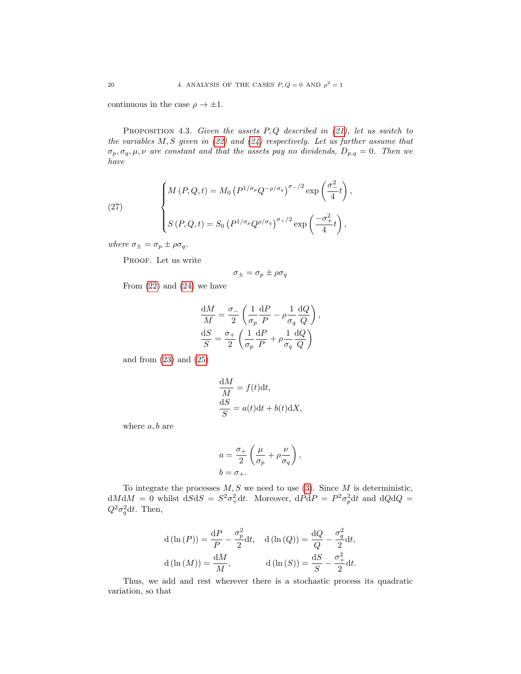continuous in the case  $\rho \to \pm 1$ .

PROPOSITION 4.3. Given the assets  $P,Q$  described in [\(21\)](#page-25-3), let us switch to the variables  $M, S$  given in [\(22\)](#page-25-4) and [\(24\)](#page-25-5) respectively. Let us further assume that  $\sigma_p, \sigma_q, \mu, \nu$  are constant and that the assets pay no dividends,  $D_{p,q} = 0$ . Then we have

<span id="page-27-0"></span>(27) 
$$
\begin{cases} M(P,Q,t) = M_0 \left( P^{1/\sigma_p} Q^{-\rho/\sigma_q} \right)^{\sigma_{-}/2} \exp \left( \frac{\sigma_{-}^2}{4} t \right), \\ S(P,Q,t) = S_0 \left( P^{1/\sigma_p} Q^{\rho/\sigma_q} \right)^{\sigma_{+}/2} \exp \left( \frac{-\sigma_{+}^2}{4} t \right), \end{cases}
$$

where  $\sigma_{\pm} = \sigma_p \pm \rho \sigma_q$ .

PROOF. Let us write

$$
\sigma_{\pm} = \sigma_p \pm \rho \sigma_q
$$

From  $(22)$  and  $(24)$  we have

$$
\frac{dM}{M} = \frac{\sigma_{-}}{2} \left( \frac{1}{\sigma_{p}} \frac{dP}{P} - \rho \frac{1}{\sigma_{q}} \frac{dQ}{Q} \right),
$$

$$
\frac{dS}{S} = \frac{\sigma_{+}}{2} \left( \frac{1}{\sigma_{p}} \frac{dP}{P} + \rho \frac{1}{\sigma_{q}} \frac{dQ}{Q} \right)
$$

and from [\(23\)](#page-25-1) and [\(25\)](#page-25-2)

$$
\frac{dM}{M} = f(t)dt,
$$
  
\n
$$
\frac{dS}{S} = a(t)dt + b(t)dX,
$$

where  $a, b$  are

$$
a = \frac{\sigma_+}{2} \left( \frac{\mu}{\sigma_p} + \rho \frac{\nu}{\sigma_q} \right),
$$
  

$$
b = \sigma_+.
$$

To integrate the processes  $M, S$  we need to use [\(3\)](#page-12-2). Since  $M$  is deterministic,  $dM dM = 0$  whilst  $dS dS = S^2 \sigma_+^2 dt$ . Moreover,  $dP dP = P^2 \sigma_p^2 dt$  and  $dQ dQ =$  $Q^2 \sigma_q^2 dt$ . Then,

$$
d(\ln(P)) = \frac{dP}{P} - \frac{\sigma_p^2}{2}dt, \quad d(\ln(Q)) = \frac{dQ}{Q} - \frac{\sigma_q^2}{2}dt,
$$
  

$$
d(\ln(M)) = \frac{dM}{M}, \qquad d(\ln(S)) = \frac{dS}{S} - \frac{\sigma_{+}^2}{2}dt.
$$

Thus, we add and rest wherever there is a stochastic process its quadratic variation, so that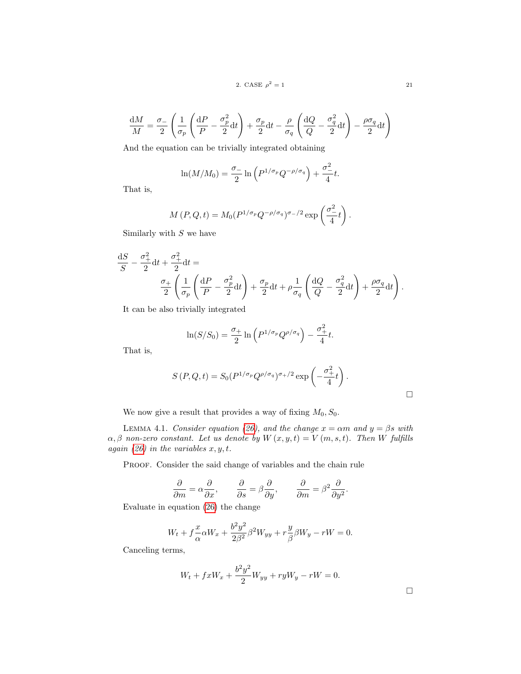$$
2. \text{ CASE } \rho^2 = 1 \tag{21}
$$

$$
\frac{dM}{M} = \frac{\sigma_-}{2} \left( \frac{1}{\sigma_p} \left( \frac{dP}{P} - \frac{\sigma_p^2}{2} dt \right) + \frac{\sigma_p}{2} dt - \frac{\rho}{\sigma_q} \left( \frac{dQ}{Q} - \frac{\sigma_q^2}{2} dt \right) - \frac{\rho \sigma_q}{2} dt \right)
$$

And the equation can be trivially integrated obtaining

$$
\ln(M/M_0) = \frac{\sigma_-}{2} \ln\left(P^{1/\sigma_p} Q^{-\rho/\sigma_q}\right) + \frac{\sigma_-^2}{4} t.
$$

That is,

$$
M(P,Q,t) = M_0 (P^{1/\sigma_p} Q^{-\rho/\sigma_q})^{\sigma_-/2} \exp\left(\frac{\sigma_-^2}{4}t\right)
$$

Similarly with  $S$  we have

$$
\frac{\mathrm{d}S}{S} - \frac{\sigma_+^2}{2} \mathrm{d}t + \frac{\sigma_+^2}{2} \mathrm{d}t =
$$
\n
$$
\frac{\sigma_+}{2} \left( \frac{1}{\sigma_p} \left( \frac{\mathrm{d}P}{P} - \frac{\sigma_p^2}{2} \mathrm{d}t \right) + \frac{\sigma_p}{2} \mathrm{d}t + \rho \frac{1}{\sigma_q} \left( \frac{\mathrm{d}Q}{Q} - \frac{\sigma_q^2}{2} \mathrm{d}t \right) + \frac{\rho \sigma_q}{2} \mathrm{d}t \right).
$$

It can be also trivially integrated

$$
\ln(S/S_0) = \frac{\sigma_+}{2} \ln \left( P^{1/\sigma_p} Q^{\rho/\sigma_q} \right) - \frac{\sigma_+^2}{4} t.
$$

That is,

$$
S(P,Q,t) = S_0(P^{1/\sigma_p}Q^{\rho/\sigma_q})^{\sigma_+/2} \exp\left(-\frac{\sigma_+^2}{4}t\right).
$$

We now give a result that provides a way of fixing  $M_0$ ,  $S_0$ .

LEMMA 4.1. Consider equation [\(26\)](#page-26-0), and the change  $x = \alpha m$  and  $y = \beta s$  with  $\alpha, \beta$  non-zero constant. Let us denote by  $W(x, y, t) = V(m, s, t)$ . Then W fulfills again [\(26\)](#page-26-0) in the variables  $x, y, t$ .

PROOF. Consider the said change of variables and the chain rule

$$
\frac{\partial}{\partial m} = \alpha \frac{\partial}{\partial x}, \qquad \frac{\partial}{\partial s} = \beta \frac{\partial}{\partial y}, \qquad \frac{\partial}{\partial m} = \beta^2 \frac{\partial}{\partial y^2}.
$$

Evaluate in equation [\(26\)](#page-26-0) the change

$$
W_t + f\frac{x}{\alpha}\alpha W_x + \frac{b^2y^2}{2\beta^2}\beta^2 W_{yy} + r\frac{y}{\beta}\beta W_y - rW = 0.
$$

Canceling terms,

$$
W_t + fxW_x + \frac{b^2y^2}{2}W_{yy} + ryW_y - rW = 0.
$$

.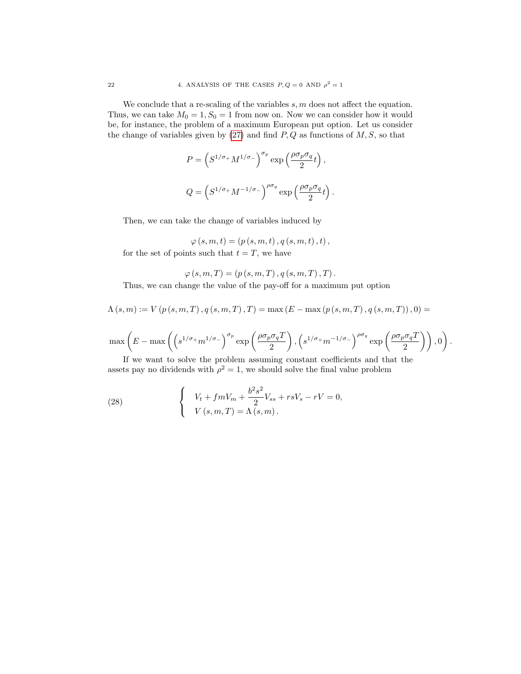We conclude that a re-scaling of the variables  $s, m$  does not affect the equation. Thus, we can take  $M_0 = 1, S_0 = 1$  from now on. Now we can consider how it would be, for instance, the problem of a maximum European put option. Let us consider the change of variables given by  $(27)$  and find  $P, Q$  as functions of  $M, S$ , so that

$$
P = \left(S^{1/\sigma_+}M^{1/\sigma_-}\right)^{\sigma_p} \exp\left(\frac{\rho \sigma_p \sigma_q}{2}t\right),
$$
  

$$
Q = \left(S^{1/\sigma_+}M^{-1/\sigma_-}\right)^{\rho \sigma_q} \exp\left(\frac{\rho \sigma_p \sigma_q}{2}t\right)
$$

.

Then, we can take the change of variables induced by

$$
\varphi\left(s,m,t\right)=\left(p\left(s,m,t\right),q\left(s,m,t\right),t\right),
$$
 for the set of points such that  $t=T$ , we have

$$
\varphi(s, m, T) = (p(s, m, T), q(s, m, T), T).
$$

Thus, we can change the value of the pay-off for a maximum put option

$$
\Lambda (s, m) := V (p (s, m, T), q (s, m, T), T) = \max (E - \max (p (s, m, T), q (s, m, T)), 0) =
$$

$$
\max\left(E-\max\left(\left(s^{1/\sigma_+}m^{1/\sigma_-}\right)^{\sigma_p}\exp\left(\frac{\rho\sigma_p\sigma_qT}{2}\right),\left(s^{1/\sigma_+}m^{-1/\sigma_-}\right)^{\rho\sigma_q}\exp\left(\frac{\rho\sigma_p\sigma_qT}{2}\right)\right),0\right).
$$

If we want to solve the problem assuming constant coefficients and that the assets pay no dividends with  $\rho^2 = 1$ , we should solve the final value problem

(28) 
$$
\begin{cases} V_t + fmV_m + \frac{b^2s^2}{2}V_{ss} + rsV_s - rV = 0, \\ V(s, m, T) = \Lambda(s, m). \end{cases}
$$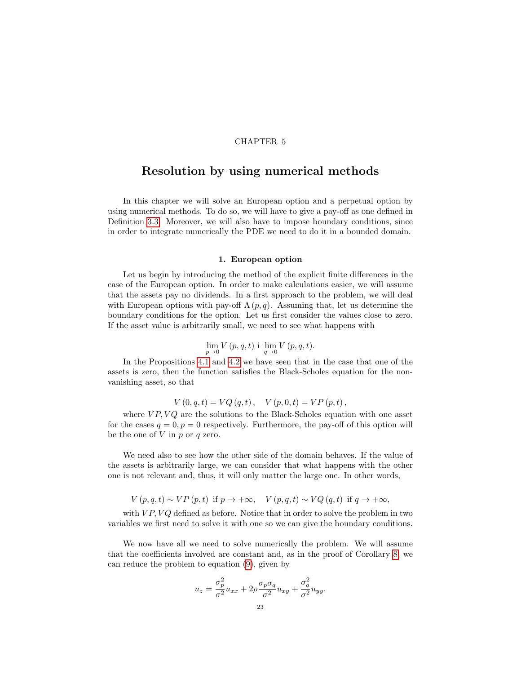### CHAPTER 5

## <span id="page-30-0"></span>Resolution by using numerical methods

In this chapter we will solve an European option and a perpetual option by using numerical methods. To do so, we will have to give a pay-off as one defined in Definition [3.3.](#page-20-2) Moreover, we will also have to impose boundary conditions, since in order to integrate numerically the PDE we need to do it in a bounded domain.

#### 1. European option

<span id="page-30-1"></span>Let us begin by introducing the method of the explicit finite differences in the case of the European option. In order to make calculations easier, we will assume that the assets pay no dividends. In a first approach to the problem, we will deal with European options with pay-off  $\Lambda(p,q)$ . Assuming that, let us determine the boundary conditions for the option. Let us first consider the values close to zero. If the asset value is arbitrarily small, we need to see what happens with

$$
\lim_{p \to 0} V(p,q,t) \text{ i } \lim_{q \to 0} V(p,q,t).
$$

In the Propositions [4.1](#page-24-3) and [4.2](#page-25-6) we have seen that in the case that one of the assets is zero, then the function satisfies the Black-Scholes equation for the nonvanishing asset, so that

$$
V(0, q, t) = VQ(q, t), \quad V(p, 0, t) = VP(p, t),
$$

where  $VP, VQ$  are the solutions to the Black-Scholes equation with one asset for the cases  $q = 0, p = 0$  respectively. Furthermore, the pay-off of this option will be the one of  $V$  in  $p$  or  $q$  zero.

We need also to see how the other side of the domain behaves. If the value of the assets is arbitrarily large, we can consider that what happens with the other one is not relevant and, thus, it will only matter the large one. In other words,

$$
V(p,q,t) \sim VP(p,t)
$$
 if  $p \to +\infty$ ,  $V(p,q,t) \sim VQ(q,t)$  if  $q \to +\infty$ ,

with  $VP, VQ$  defined as before. Notice that in order to solve the problem in two variables we first need to solve it with one so we can give the boundary conditions.

We now have all we need to solve numerically the problem. We will assume that the coefficients involved are constant and, as in the proof of Corollary [8,](#page-18-0) we can reduce the problem to equation [\(9\)](#page-19-1), given by

$$
u_z = \frac{\sigma_p^2}{\sigma^2} u_{xx} + 2\rho \frac{\sigma_p \sigma_q}{\sigma^2} u_{xy} + \frac{\sigma_q^2}{\sigma^2} u_{yy}.
$$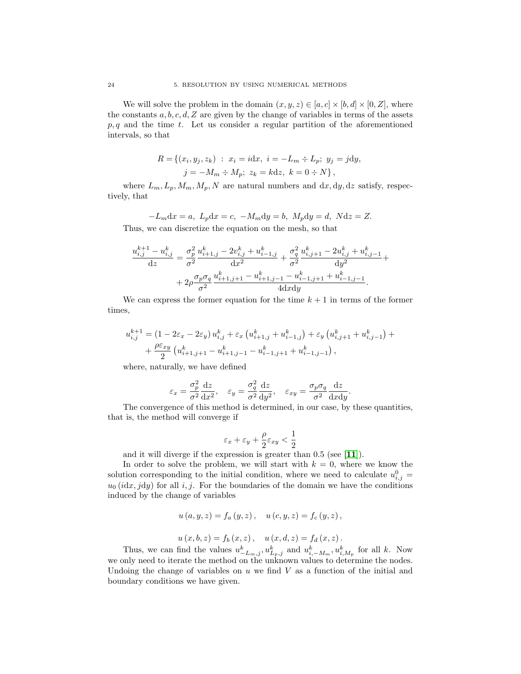We will solve the problem in the domain  $(x, y, z) \in [a, c] \times [b, d] \times [0, Z]$ , where the constants  $a, b, c, d, Z$  are given by the change of variables in terms of the assets  $p, q$  and the time t. Let us consider a regular partition of the aforementioned intervals, so that

$$
R = \{(x_i, y_j, z_k) : x_i = idx, \ i = -L_m \div L_p; \ y_j = jdy, \nj = -M_m \div M_p; \ z_k = kdz, \ k = 0 \div N \},\
$$

where  $L_m, L_p, M_m, M_p, N$  are natural numbers and  $dx, dy, dz$  satisfy, respectively, that

$$
-L_m dx = a, L_p dx = c, -M_m dy = b, M_p dy = d, N dz = Z.
$$

Thus, we can discretize the equation on the mesh, so that

$$
\frac{u_{i,j}^{k+1} - u_{i,j}^k}{dz} = \frac{\sigma_p^2}{\sigma^2} \frac{u_{i+1,j}^k - 2v_{i,j}^k + u_{i-1,j}^k}{dz^2} + \frac{\sigma_q^2}{\sigma^2} \frac{u_{i,j+1}^k - 2u_{i,j}^k + u_{i,j-1}^k}{dy^2} + 2\rho \frac{\sigma_p \sigma_q}{\sigma^2} \frac{u_{i+1,j+1}^k - u_{i+1,j-1}^k - u_{i-1,j+1}^k + u_{i-1,j-1}^k}{4dx dy}.
$$

We can express the former equation for the time  $k + 1$  in terms of the former times,

$$
u_{i,j}^{k+1} = (1 - 2\varepsilon_x - 2\varepsilon_y) u_{i,j}^k + \varepsilon_x \left( u_{i+1,j}^k + u_{i-1,j}^k \right) + \varepsilon_y \left( u_{i,j+1}^k + u_{i,j-1}^k \right) + + \frac{\rho \varepsilon_{xy}}{2} \left( u_{i+1,j+1}^k - u_{i+1,j-1}^k - u_{i-1,j+1}^k + u_{i-1,j-1}^k \right),
$$

where, naturally, we have defined

$$
\varepsilon_x = \frac{\sigma_p^2}{\sigma^2} \frac{dz}{dx^2}, \quad \varepsilon_y = \frac{\sigma_q^2}{\sigma^2} \frac{dz}{dy^2}, \quad \varepsilon_{xy} = \frac{\sigma_p \sigma_q}{\sigma^2} \frac{dz}{dx dy}.
$$

The convergence of this method is determined, in our case, by these quantities, that is, the method will converge if

$$
\varepsilon_x+\varepsilon_y+\frac{\rho}{2}\varepsilon_{xy}<\frac{1}{2}
$$

and it will diverge if the expression is greater than 0.5 (see [[11](#page-38-16)]).

In order to solve the problem, we will start with  $k = 0$ , where we know the solution corresponding to the initial condition, where we need to calculate  $u_{i,j}^0 =$  $u_0(idx, jdy)$  for all i, j. For the boundaries of the domain we have the conditions induced by the change of variables

$$
u(a, y, z) = f_a(y, z), \quad u(c, y, z) = f_c(y, z),
$$
  

$$
u(x, b, z) = f_b(x, z), \quad u(x, d, z) = f_d(x, z).
$$

Thus, we can find the values 
$$
u_{-L_m,j}^k, u_{L_p,j}^k
$$
 and  $u_{i,-M_m}^k, u_{i,M_p}^k$  for all k. Now  
we only need to iterate the method on the unknown values to determine the nodes.  
Undoing the change of variables on u we find V as a function of the initial and  
boundary conditions we have given.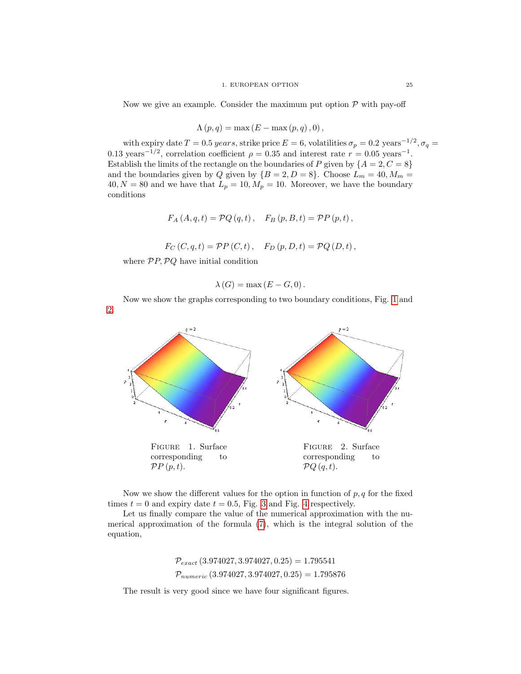Now we give an example. Consider the maximum put option  $P$  with pay-off

$$
\Lambda(p,q) = \max(E - \max(p,q), 0),
$$

with expiry date  $T = 0.5 \, years$ , strike price  $E = 6$ , volatilities  $\sigma_p = 0.2 \, \text{years}^{-1/2}$ ,  $\sigma_q =$ 0.13 years<sup>-1/2</sup>, correlation coefficient  $\rho = 0.35$  and interest rate  $r = 0.05$  years<sup>-1</sup>. Establish the limits of the rectangle on the boundaries of P given by  $\{A = 2, C = 8\}$ and the boundaries given by Q given by  $\{B = 2, D = 8\}$ . Choose  $L_m = 40, M_m =$  $40, N = 80$  and we have that  $L_p = 10, M_p = 10$ . Moreover, we have the boundary conditions

$$
F_A(A, q, t) = \mathcal{P}Q(q, t), \quad F_B(p, B, t) = \mathcal{P}P(p, t),
$$

 $F_C(C, q, t) = \mathcal{P} P (C, t), \quad F_D(p, D, t) = \mathcal{P} Q (D, t),$ 

where  $\mathcal{P}P, \mathcal{P}Q$  have initial condition

<span id="page-32-1"></span><span id="page-32-0"></span>
$$
\lambda(G) = \max(E - G, 0).
$$

Now we show the graphs corresponding to two boundary conditions, Fig. [1](#page-32-0) and [2.](#page-32-1)



Now we show the different values for the option in function of  $p, q$  for the fixed times  $t = 0$  and expiry date  $t = 0.5$ , Fig. [3](#page-33-1) and Fig. [4](#page-33-2) respectively.

Let us finally compare the value of the numerical approximation with the numerical approximation of the formula [\(7\)](#page-17-1), which is the integral solution of the equation,

> $P_{exact}$  (3.974027, 3.974027, 0.25) = 1.795541  $P_{numeric}$  (3.974027, 3.974027, 0.25) = 1.795876

The result is very good since we have four significant figures.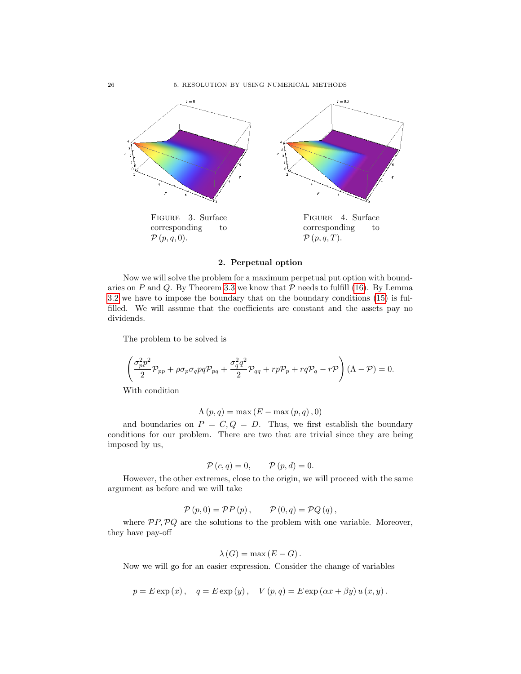

### <span id="page-33-2"></span><span id="page-33-1"></span>2. Perpetual option

<span id="page-33-0"></span>Now we will solve the problem for a maximum perpetual put option with bound-aries on P and Q. By Theorem [3.3](#page-23-1) we know that  $P$  needs to fulfill [\(16\)](#page-23-1). By Lemma [3.2](#page-22-1) we have to impose the boundary that on the boundary conditions [\(15\)](#page-22-1) is fulfilled. We will assume that the coefficients are constant and the assets pay no dividends.

The problem to be solved is

$$
\left(\frac{\sigma_p^2p^2}{2}\mathcal{P}_{pp}+\rho\sigma_p\sigma_qpq\mathcal{P}_{pq}+\frac{\sigma_q^2q^2}{2}\mathcal{P}_{qq}+rp\mathcal{P}_p+rq\mathcal{P}_q-r\mathcal{P}\right)(\Lambda-\mathcal{P})=0.
$$

With condition

$$
\Lambda(p,q) = \max\left(E - \max\left(p,q\right), 0\right)
$$

and boundaries on  $P = C, Q = D$ . Thus, we first establish the boundary conditions for our problem. There are two that are trivial since they are being imposed by us,

$$
\mathcal{P}(c,q) = 0, \qquad \mathcal{P}(p,d) = 0.
$$

However, the other extremes, close to the origin, we will proceed with the same argument as before and we will take

$$
\mathcal{P}(p,0) = \mathcal{P}P(p), \qquad \mathcal{P}(0,q) = \mathcal{P}Q(q),
$$

where  $\mathcal{P}P, \mathcal{P}Q$  are the solutions to the problem with one variable. Moreover, they have pay-off

$$
\lambda(G) = \max(E - G).
$$

Now we will go for an easier expression. Consider the change of variables

$$
p = E \exp(x), \quad q = E \exp(y), \quad V(p,q) = E \exp(\alpha x + \beta y) u(x,y).
$$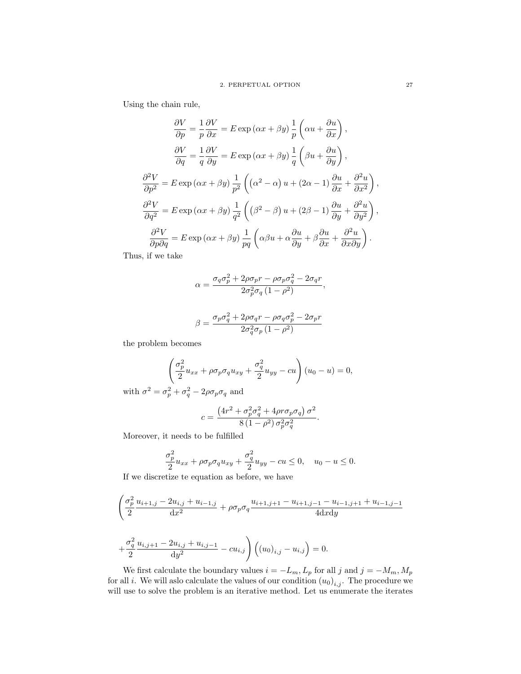Using the chain rule,

$$
\frac{\partial V}{\partial p} = \frac{1}{p} \frac{\partial V}{\partial x} = E \exp(\alpha x + \beta y) \frac{1}{p} \left( \alpha u + \frac{\partial u}{\partial x} \right),
$$
  

$$
\frac{\partial V}{\partial q} = \frac{1}{q} \frac{\partial V}{\partial y} = E \exp(\alpha x + \beta y) \frac{1}{q} \left( \beta u + \frac{\partial u}{\partial y} \right),
$$
  

$$
\frac{\partial^2 V}{\partial p^2} = E \exp(\alpha x + \beta y) \frac{1}{p^2} \left( (\alpha^2 - \alpha) u + (2\alpha - 1) \frac{\partial u}{\partial x} + \frac{\partial^2 u}{\partial x^2} \right),
$$
  

$$
\frac{\partial^2 V}{\partial q^2} = E \exp(\alpha x + \beta y) \frac{1}{q^2} \left( (\beta^2 - \beta) u + (2\beta - 1) \frac{\partial u}{\partial y} + \frac{\partial^2 u}{\partial y^2} \right),
$$
  

$$
\frac{\partial^2 V}{\partial p \partial q} = E \exp(\alpha x + \beta y) \frac{1}{pq} \left( \alpha \beta u + \alpha \frac{\partial u}{\partial y} + \beta \frac{\partial u}{\partial x} + \frac{\partial^2 u}{\partial x \partial y} \right).
$$

Thus, if we take

$$
\alpha = \frac{\sigma_q \sigma_p^2 + 2\rho \sigma_p r - \rho \sigma_p \sigma_q^2 - 2\sigma_q r}{2\sigma_p^2 \sigma_q (1 - \rho^2)},
$$

$$
\beta = \frac{\sigma_p \sigma_q^2 + 2\rho \sigma_q r - \rho \sigma_q \sigma_p^2 - 2\sigma_p r}{2\sigma_q^2 \sigma_p \left(1 - \rho^2\right)}
$$

the problem becomes

$$
\left(\frac{\sigma_p^2}{2}u_{xx} + \rho \sigma_p \sigma_q u_{xy} + \frac{\sigma_q^2}{2}u_{yy} - cu\right)(u_0 - u) = 0,
$$

with  $\sigma^2 = \sigma_p^2 + \sigma_q^2 - 2\rho\sigma_p\sigma_q$  and

$$
c = \frac{\left(4r^2 + \sigma_p^2 \sigma_q^2 + 4\rho r \sigma_p \sigma_q\right) \sigma^2}{8\left(1 - \rho^2\right) \sigma_p^2 \sigma_q^2}.
$$

Moreover, it needs to be fulfilled

$$
\frac{\sigma_p^2}{2}u_{xx} + \rho \sigma_p \sigma_q u_{xy} + \frac{\sigma_q^2}{2}u_{yy} - cu \le 0, \quad u_0 - u \le 0.
$$

If we discretize te equation as before, we have

$$
\left(\frac{\sigma_p^2}{2}\frac{u_{i+1,j} - 2u_{i,j} + u_{i-1,j}}{dx^2} + \rho \sigma_p \sigma_q \frac{u_{i+1,j+1} - u_{i+1,j-1} - u_{i-1,j+1} + u_{i-1,j-1}}{4dx dy}\right)
$$

$$
+ \frac{\sigma_q^2}{2}\frac{u_{i,j+1} - 2u_{i,j} + u_{i,j-1}}{dy^2} - cu_{i,j}\right)\left((u_0)_{i,j} - u_{i,j}\right) = 0.
$$

We first calculate the boundary values  $i = -L_m, L_p$  for all j and  $j = -M_m, M_p$ for all *i*. We will aslo calculate the values of our condition  $(u_0)_{i,j}$ . The procedure we will use to solve the problem is an iterative method. Let us enumerate the iterates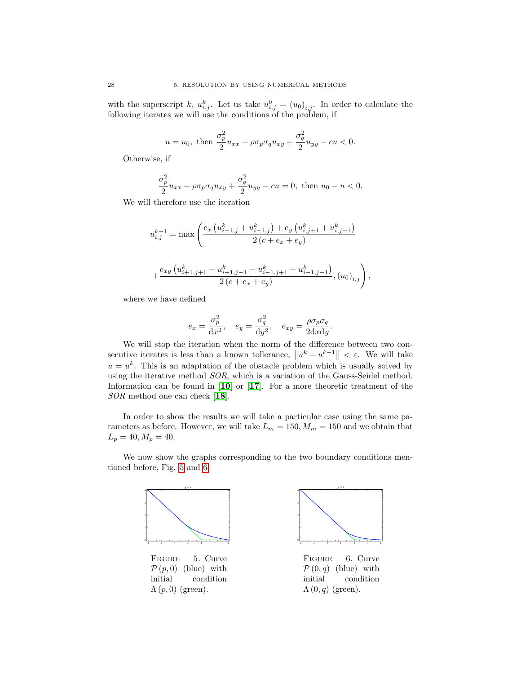with the superscript k,  $u_{i,j}^k$ . Let us take  $u_{i,j}^0 = (u_0)_{i,j}$ . In order to calculate the following iterates we will use the conditions of the problem, if

$$
u = u_0, \text{ then } \frac{\sigma_p^2}{2} u_{xx} + \rho \sigma_p \sigma_q u_{xy} + \frac{\sigma_q^2}{2} u_{yy} - cu < 0.
$$

Otherwise, if

$$
\frac{\sigma_p^2}{2}u_{xx} + \rho \sigma_p \sigma_q u_{xy} + \frac{\sigma_q^2}{2}u_{yy} - cu = 0, \text{ then } u_0 - u < 0.
$$

We will therefore use the iteration

$$
u_{i,j}^{k+1} = \max \left( \frac{e_x \left( u_{i+1,j}^k + u_{i-1,j}^k \right) + e_y \left( u_{i,j+1}^k + u_{i,j-1}^k \right)}{2 \left( c + e_x + e_y \right)} \right)
$$

$$
+ \frac{e_{xy} \left( u_{i+1,j+1}^k - u_{i+1,j-1}^k - u_{i-1,j+1}^k + u_{i-1,j-1}^k \right)}{2 \left( c + e_x + e_y \right)}, (u_0)_{i,j} \right),
$$

where we have defined

$$
e_x = \frac{\sigma_p^2}{dx^2}, \quad e_y = \frac{\sigma_q^2}{dy^2}, \quad e_{xy} = \frac{\rho \sigma_p \sigma_q}{2dx dy}.
$$

We will stop the iteration when the norm of the difference between two consecutive iterates is less than a known tollerance,  $||u^k - u^{k-1}|| < \varepsilon$ . We will take  $u = u<sup>k</sup>$ . This is an adaptation of the obstacle problem which is usually solved by using the iterative method SOR, which is a variation of the Gauss-Seidel method. Information can be found in  $\mathbf{10}$  $\mathbf{10}$  $\mathbf{10}$  or  $\mathbf{17}$  $\mathbf{17}$  $\mathbf{17}$ . For a more theoretic treatment of the SOR method one can check [[18](#page-38-18)].

In order to show the results we will take a particular case using the same parameters as before. However, we will take  $L_m = 150, M_m = 150$  and we obtain that  $L_p = 40, M_p = 40.$ 

We now show the graphs corresponding to the two boundary conditions mentioned before, Fig. [5](#page-35-0) and [6.](#page-35-1)



Figure 5. Curve  $\mathcal{P}(p,0)$  (blue) with initial condition  $\Lambda(p,0)$  (green).



<span id="page-35-1"></span><span id="page-35-0"></span>Figure 6. Curve  $\mathcal{P}(0, q)$  (blue) with initial condition  $\Lambda(0,q)$  (green).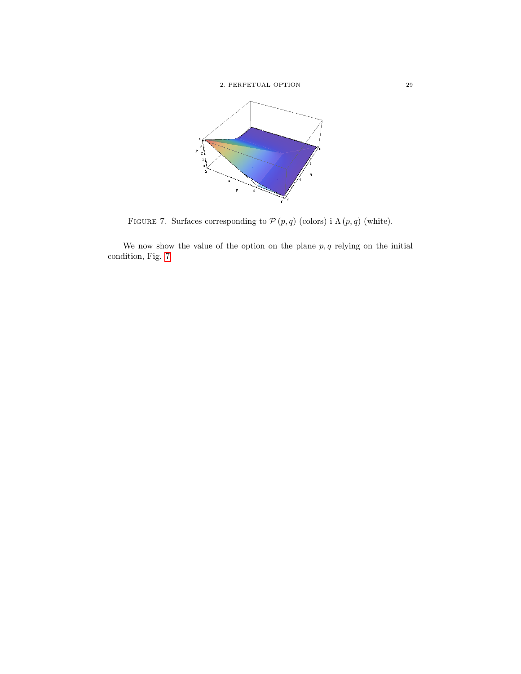<span id="page-36-0"></span>



FIGURE 7. Surfaces corresponding to  $\mathcal{P}\left(p,q\right)$  (colors) i  $\Lambda\left(p,q\right)$  (white).

We now show the value of the option on the plane  $p, q$  relying on the initial condition, Fig. [7](#page-36-0)